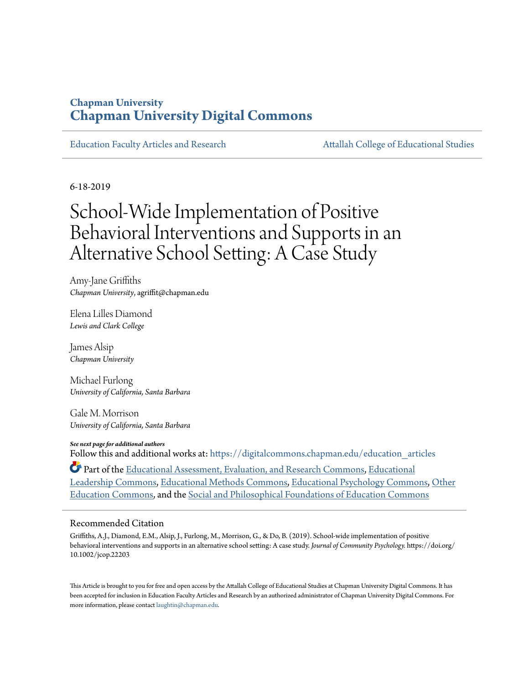## **Chapman University [Chapman University Digital Commons](https://digitalcommons.chapman.edu?utm_source=digitalcommons.chapman.edu%2Feducation_articles%2F235&utm_medium=PDF&utm_campaign=PDFCoverPages)**

[Education Faculty Articles and Research](https://digitalcommons.chapman.edu/education_articles?utm_source=digitalcommons.chapman.edu%2Feducation_articles%2F235&utm_medium=PDF&utm_campaign=PDFCoverPages) [Attallah College of Educational Studies](https://digitalcommons.chapman.edu/ces?utm_source=digitalcommons.chapman.edu%2Feducation_articles%2F235&utm_medium=PDF&utm_campaign=PDFCoverPages)

6-18-2019

# School-Wide Implementation of Positive Behavioral Interventions and Supports in an Alternative School Setting: A Case Study

Amy-Jane Griffiths *Chapman University*, agriffit@chapman.edu

Elena Lilles Diamond *Lewis and Clark College*

James Alsip *Chapman University*

Michael Furlong *University of California, Santa Barbara*

Gale M. Morrison *University of California, Santa Barbara*

*See next page for additional authors*

Follow this and additional works at: [https://digitalcommons.chapman.edu/education\\_articles](https://digitalcommons.chapman.edu/education_articles?utm_source=digitalcommons.chapman.edu%2Feducation_articles%2F235&utm_medium=PDF&utm_campaign=PDFCoverPages)

**Part of the [Educational Assessment, Evaluation, and Research Commons,](http://network.bepress.com/hgg/discipline/796?utm_source=digitalcommons.chapman.edu%2Feducation_articles%2F235&utm_medium=PDF&utm_campaign=PDFCoverPages) [Educational](http://network.bepress.com/hgg/discipline/1230?utm_source=digitalcommons.chapman.edu%2Feducation_articles%2F235&utm_medium=PDF&utm_campaign=PDFCoverPages)** [Leadership Commons](http://network.bepress.com/hgg/discipline/1230?utm_source=digitalcommons.chapman.edu%2Feducation_articles%2F235&utm_medium=PDF&utm_campaign=PDFCoverPages), [Educational Methods Commons,](http://network.bepress.com/hgg/discipline/1227?utm_source=digitalcommons.chapman.edu%2Feducation_articles%2F235&utm_medium=PDF&utm_campaign=PDFCoverPages) [Educational Psychology Commons](http://network.bepress.com/hgg/discipline/798?utm_source=digitalcommons.chapman.edu%2Feducation_articles%2F235&utm_medium=PDF&utm_campaign=PDFCoverPages), [Other](http://network.bepress.com/hgg/discipline/811?utm_source=digitalcommons.chapman.edu%2Feducation_articles%2F235&utm_medium=PDF&utm_campaign=PDFCoverPages) [Education Commons](http://network.bepress.com/hgg/discipline/811?utm_source=digitalcommons.chapman.edu%2Feducation_articles%2F235&utm_medium=PDF&utm_campaign=PDFCoverPages), and the [Social and Philosophical Foundations of Education Commons](http://network.bepress.com/hgg/discipline/799?utm_source=digitalcommons.chapman.edu%2Feducation_articles%2F235&utm_medium=PDF&utm_campaign=PDFCoverPages)

#### Recommended Citation

Griffiths, A.J., Diamond, E.M., Alsip, J., Furlong, M., Morrison, G., & Do, B. (2019). School-wide implementation of positive behavioral interventions and supports in an alternative school setting: A case study. *Journal of Community Psychology.* https://doi.org/ 10.1002/jcop.22203

This Article is brought to you for free and open access by the Attallah College of Educational Studies at Chapman University Digital Commons. It has been accepted for inclusion in Education Faculty Articles and Research by an authorized administrator of Chapman University Digital Commons. For more information, please contact [laughtin@chapman.edu](mailto:laughtin@chapman.edu).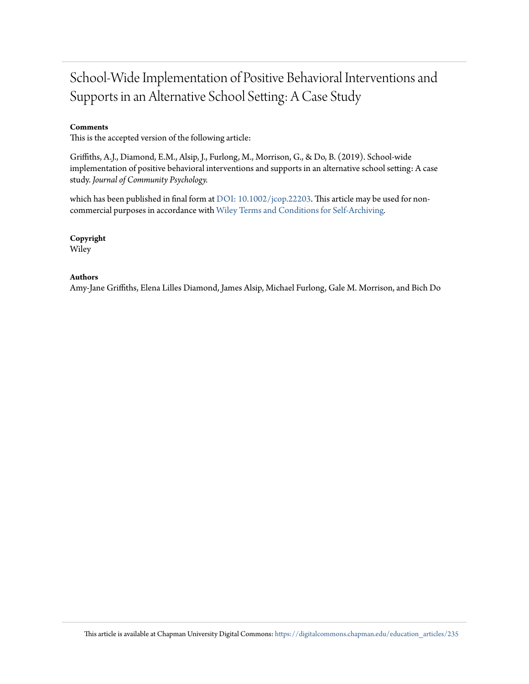## School-Wide Implementation of Positive Behavioral Interventions and Supports in an Alternative School Setting: A Case Study

#### **Comments**

This is the accepted version of the following article:

Griffiths, A.J., Diamond, E.M., Alsip, J., Furlong, M., Morrison, G., & Do, B. (2019). School-wide implementation of positive behavioral interventions and supports in an alternative school setting: A case study. *Journal of Community Psychology.*

which has been published in final form at [DOI: 10.1002/jcop.22203.](https://doi.org/10.1002/jcop.22203) This article may be used for noncommercial purposes in accordance with [Wiley Terms and Conditions for Self-Archiving](http://olabout.wiley.com/WileyCDA/Section/id-820227.html#terms)*.*

**Copyright**

Wiley

#### **Authors**

Amy-Jane Griffiths, Elena Lilles Diamond, James Alsip, Michael Furlong, Gale M. Morrison, and Bich Do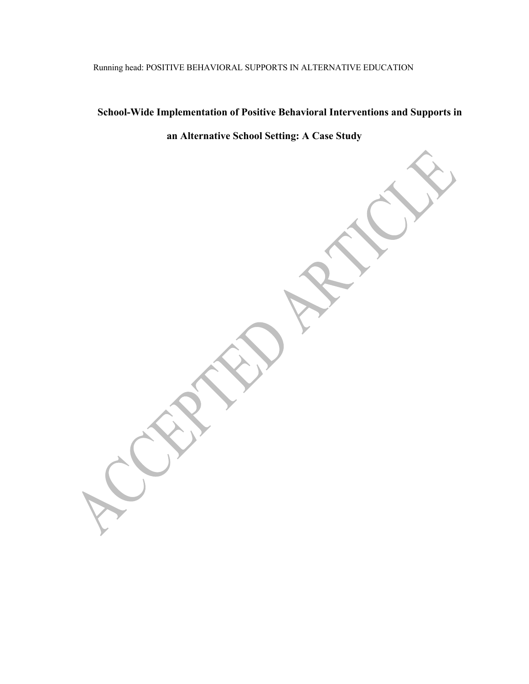## Running head: POSITIVE BEHAVIORAL SUPPORTS IN ALTERNATIVE EDUCATION

## **School-Wide Implementation of Positive Behavioral Interventions and Supports in**

## **an Alternative School Setting: A Case Study**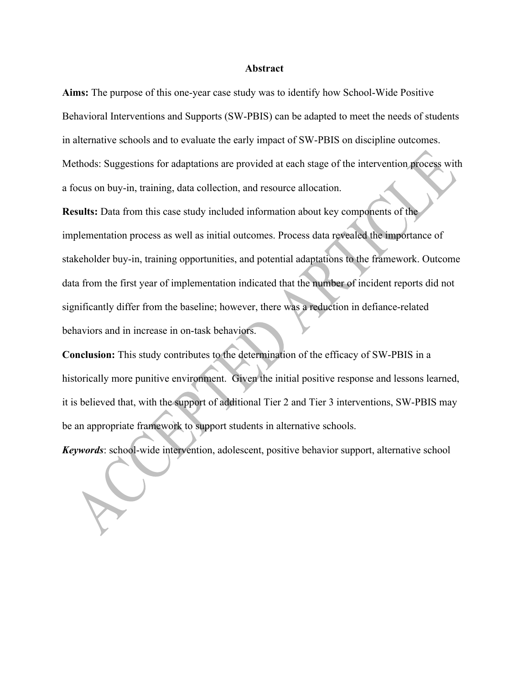#### **Abstract**

**Aims:** The purpose of this one-year case study was to identify how School-Wide Positive Behavioral Interventions and Supports (SW-PBIS) can be adapted to meet the needs of students in alternative schools and to evaluate the early impact of SW-PBIS on discipline outcomes. Methods: Suggestions for adaptations are provided at each stage of the intervention process with a focus on buy-in, training, data collection, and resource allocation.

**Results:** Data from this case study included information about key components of the implementation process as well as initial outcomes. Process data revealed the importance of stakeholder buy-in, training opportunities, and potential adaptations to the framework. Outcome data from the first year of implementation indicated that the number of incident reports did not significantly differ from the baseline; however, there was a reduction in defiance-related behaviors and in increase in on-task behaviors.

**Conclusion:** This study contributes to the determination of the efficacy of SW-PBIS in a historically more punitive environment. Given the initial positive response and lessons learned, it is believed that, with the support of additional Tier 2 and Tier 3 interventions, SW-PBIS may be an appropriate framework to support students in alternative schools.

*Keywords*: school-wide intervention, adolescent, positive behavior support, alternative school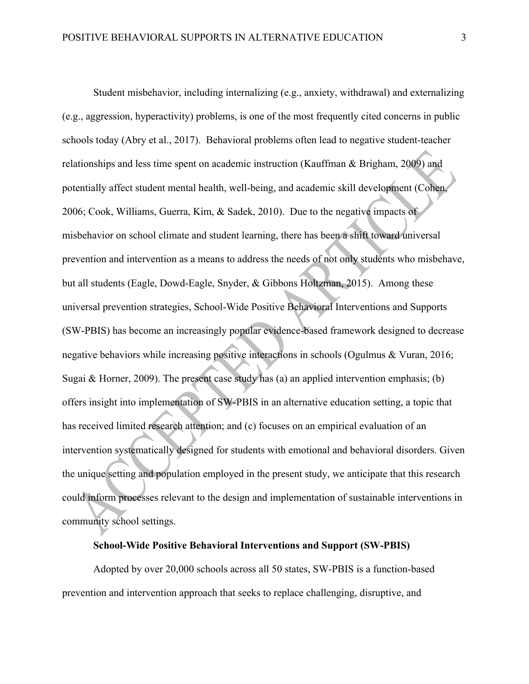Student misbehavior, including internalizing (e.g., anxiety, withdrawal) and externalizing (e.g., aggression, hyperactivity) problems, is one of the most frequently cited concerns in public schools today (Abry et al., 2017). Behavioral problems often lead to negative student-teacher relationships and less time spent on academic instruction (Kauffman & Brigham, 2009) and potentially affect student mental health, well-being, and academic skill development (Cohen, 2006; Cook, Williams, Guerra, Kim, & Sadek, 2010). Due to the negative impacts of misbehavior on school climate and student learning, there has been a shift toward universal prevention and intervention as a means to address the needs of not only students who misbehave, but all students (Eagle, Dowd-Eagle, Snyder, & Gibbons Holtzman, 2015). Among these universal prevention strategies, School-Wide Positive Behavioral Interventions and Supports (SW-PBIS) has become an increasingly popular evidence-based framework designed to decrease negative behaviors while increasing positive interactions in schools (Ogulmus & Vuran, 2016; Sugai & Horner, 2009). The present case study has (a) an applied intervention emphasis; (b) offers insight into implementation of SW-PBIS in an alternative education setting, a topic that has received limited research attention; and (c) focuses on an empirical evaluation of an intervention systematically designed for students with emotional and behavioral disorders. Given the unique setting and population employed in the present study, we anticipate that this research could inform processes relevant to the design and implementation of sustainable interventions in community school settings.

#### **School-Wide Positive Behavioral Interventions and Support (SW-PBIS)**

Adopted by over 20,000 schools across all 50 states, SW-PBIS is a function-based prevention and intervention approach that seeks to replace challenging, disruptive, and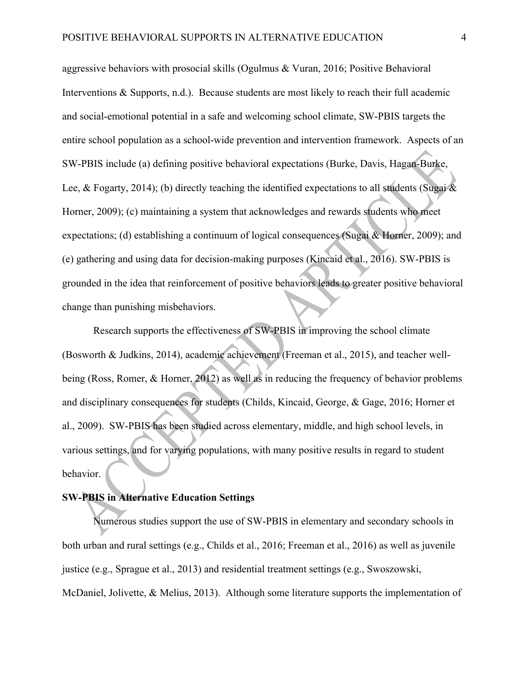aggressive behaviors with prosocial skills (Ogulmus & Vuran, 2016; Positive Behavioral Interventions & Supports, n.d.). Because students are most likely to reach their full academic and social-emotional potential in a safe and welcoming school climate, SW-PBIS targets the entire school population as a school-wide prevention and intervention framework. Aspects of an SW-PBIS include (a) defining positive behavioral expectations (Burke, Davis, Hagan-Burke, Lee, & Fogarty, 2014); (b) directly teaching the identified expectations to all students (Sugai & Horner, 2009); (c) maintaining a system that acknowledges and rewards students who meet expectations; (d) establishing a continuum of logical consequences (Sugai & Horner, 2009); and (e) gathering and using data for decision-making purposes (Kincaid et al., 2016). SW-PBIS is grounded in the idea that reinforcement of positive behaviors leads to greater positive behavioral change than punishing misbehaviors.

Research supports the effectiveness of SW-PBIS in improving the school climate (Bosworth & Judkins, 2014), academic achievement (Freeman et al., 2015), and teacher wellbeing (Ross, Romer, & Horner, 2012) as well as in reducing the frequency of behavior problems and disciplinary consequences for students (Childs, Kincaid, George, & Gage, 2016; Horner et al., 2009). SW-PBIS has been studied across elementary, middle, and high school levels, in various settings, and for varying populations, with many positive results in regard to student behavior.

#### **SW-PBIS in Alternative Education Settings**

Numerous studies support the use of SW-PBIS in elementary and secondary schools in both urban and rural settings (e.g., Childs et al., 2016; Freeman et al., 2016) as well as juvenile justice (e.g., Sprague et al., 2013) and residential treatment settings (e.g., Swoszowski, McDaniel, Jolivette, & Melius, 2013). Although some literature supports the implementation of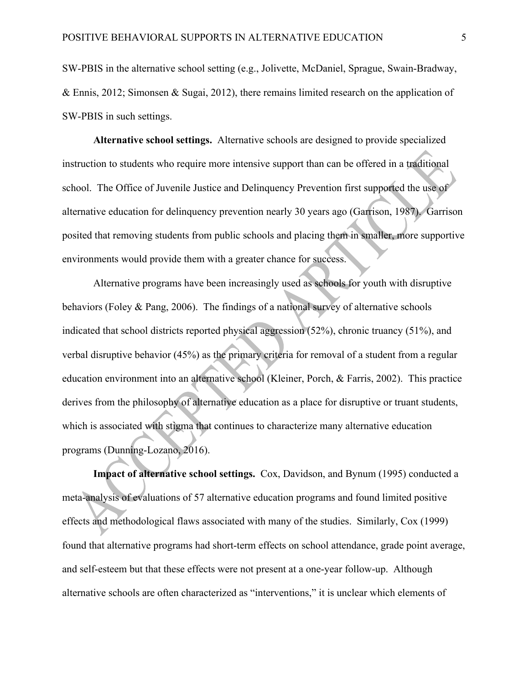SW-PBIS in the alternative school setting (e.g., Jolivette, McDaniel, Sprague, Swain-Bradway, & Ennis, 2012; Simonsen & Sugai, 2012), there remains limited research on the application of SW-PBIS in such settings.

**Alternative school settings.** Alternative schools are designed to provide specialized instruction to students who require more intensive support than can be offered in a traditional school. The Office of Juvenile Justice and Delinquency Prevention first supported the use of alternative education for delinquency prevention nearly 30 years ago (Garrison, 1987). Garrison posited that removing students from public schools and placing them in smaller, more supportive environments would provide them with a greater chance for success.

Alternative programs have been increasingly used as schools for youth with disruptive behaviors (Foley & Pang, 2006). The findings of a national survey of alternative schools indicated that school districts reported physical aggression (52%), chronic truancy (51%), and verbal disruptive behavior (45%) as the primary criteria for removal of a student from a regular education environment into an alternative school (Kleiner, Porch, & Farris, 2002). This practice derives from the philosophy of alternative education as a place for disruptive or truant students, which is associated with stigma that continues to characterize many alternative education programs (Dunning-Lozano, 2016).

**Impact of alternative school settings.** Cox, Davidson, and Bynum (1995) conducted a meta-analysis of evaluations of 57 alternative education programs and found limited positive effects and methodological flaws associated with many of the studies. Similarly, Cox (1999) found that alternative programs had short-term effects on school attendance, grade point average, and self-esteem but that these effects were not present at a one-year follow-up. Although alternative schools are often characterized as "interventions," it is unclear which elements of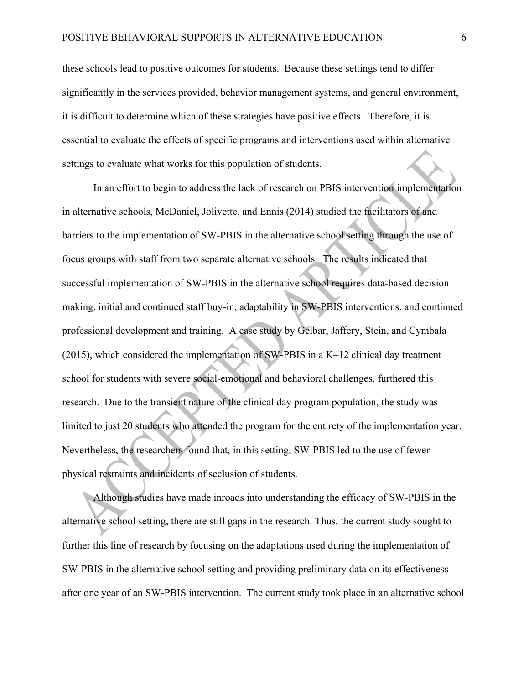these schools lead to positive outcomes for students. Because these settings tend to differ significantly in the services provided, behavior management systems, and general environment, it is difficult to determine which of these strategies have positive effects. Therefore, it is essential to evaluate the effects of specific programs and interventions used within alternative settings to evaluate what works for this population of students.

In an effort to begin to address the lack of research on PBIS intervention implementation in alternative schools, McDaniel, Jolivette, and Ennis (2014) studied the facilitators of and barriers to the implementation of SW-PBIS in the alternative school setting through the use of focus groups with staff from two separate alternative schools. The results indicated that successful implementation of SW-PBIS in the alternative school requires data-based decision making, initial and continued staff buy-in, adaptability in SW-PBIS interventions, and continued professional development and training. A case study by Gelbar, Jaffery, Stein, and Cymbala (2015), which considered the implementation of SW-PBIS in a K–12 clinical day treatment school for students with severe social-emotional and behavioral challenges, furthered this research. Due to the transient nature of the clinical day program population, the study was limited to just 20 students who attended the program for the entirety of the implementation year. Nevertheless, the researchers found that, in this setting, SW-PBIS led to the use of fewer physical restraints and incidents of seclusion of students.

Although studies have made inroads into understanding the efficacy of SW-PBIS in the alternative school setting, there are still gaps in the research. Thus, the current study sought to further this line of research by focusing on the adaptations used during the implementation of SW-PBIS in the alternative school setting and providing preliminary data on its effectiveness after one year of an SW-PBIS intervention. The current study took place in an alternative school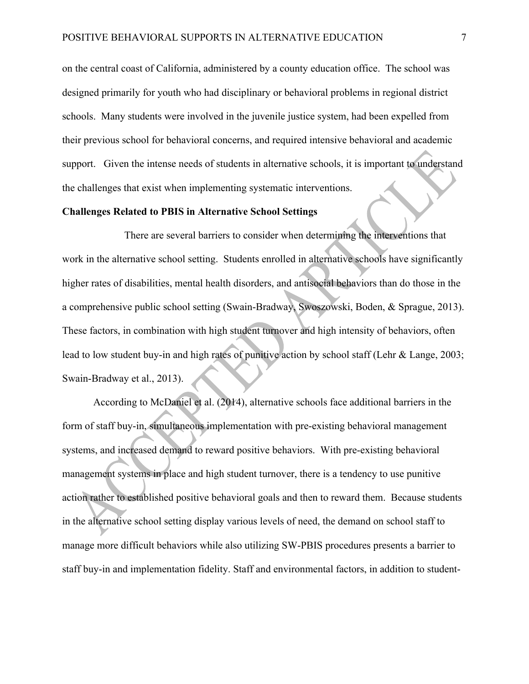on the central coast of California, administered by a county education office. The school was designed primarily for youth who had disciplinary or behavioral problems in regional district schools. Many students were involved in the juvenile justice system, had been expelled from their previous school for behavioral concerns, and required intensive behavioral and academic support. Given the intense needs of students in alternative schools, it is important to understand the challenges that exist when implementing systematic interventions.

#### **Challenges Related to PBIS in Alternative School Settings**

There are several barriers to consider when determining the interventions that work in the alternative school setting. Students enrolled in alternative schools have significantly higher rates of disabilities, mental health disorders, and antisocial behaviors than do those in the a comprehensive public school setting (Swain-Bradway, Swoszowski, Boden, & Sprague, 2013). These factors, in combination with high student turnover and high intensity of behaviors, often lead to low student buy-in and high rates of punitive action by school staff (Lehr & Lange, 2003; Swain-Bradway et al., 2013).

According to McDaniel et al. (2014), alternative schools face additional barriers in the form of staff buy-in, simultaneous implementation with pre-existing behavioral management systems, and increased demand to reward positive behaviors. With pre-existing behavioral management systems in place and high student turnover, there is a tendency to use punitive action rather to established positive behavioral goals and then to reward them. Because students in the alternative school setting display various levels of need, the demand on school staff to manage more difficult behaviors while also utilizing SW-PBIS procedures presents a barrier to staff buy-in and implementation fidelity. Staff and environmental factors, in addition to student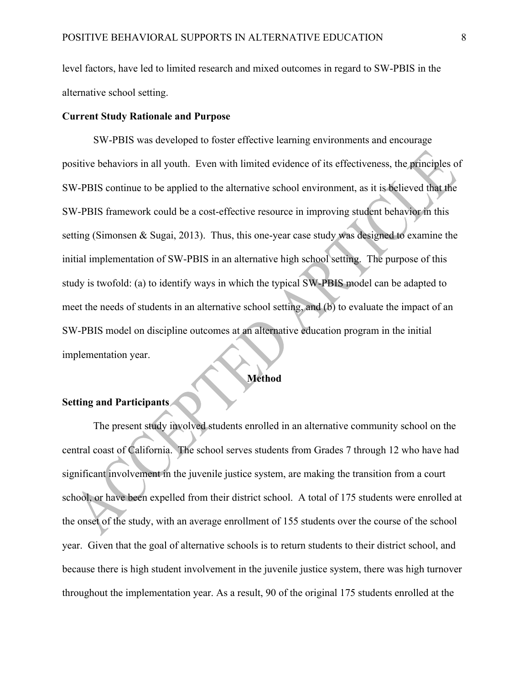level factors, have led to limited research and mixed outcomes in regard to SW-PBIS in the alternative school setting.

#### **Current Study Rationale and Purpose**

SW-PBIS was developed to foster effective learning environments and encourage positive behaviors in all youth. Even with limited evidence of its effectiveness, the principles of SW-PBIS continue to be applied to the alternative school environment, as it is believed that the SW-PBIS framework could be a cost-effective resource in improving student behavior in this setting (Simonsen & Sugai, 2013). Thus, this one-year case study was designed to examine the initial implementation of SW-PBIS in an alternative high school setting. The purpose of this study is twofold: (a) to identify ways in which the typical SW-PBIS model can be adapted to meet the needs of students in an alternative school setting, and (b) to evaluate the impact of an SW-PBIS model on discipline outcomes at an alternative education program in the initial implementation year.

#### **Method**

#### **Setting and Participants**

The present study involved students enrolled in an alternative community school on the central coast of California. The school serves students from Grades 7 through 12 who have had significant involvement in the juvenile justice system, are making the transition from a court school, or have been expelled from their district school. A total of 175 students were enrolled at the onset of the study, with an average enrollment of 155 students over the course of the school year. Given that the goal of alternative schools is to return students to their district school, and because there is high student involvement in the juvenile justice system, there was high turnover throughout the implementation year. As a result, 90 of the original 175 students enrolled at the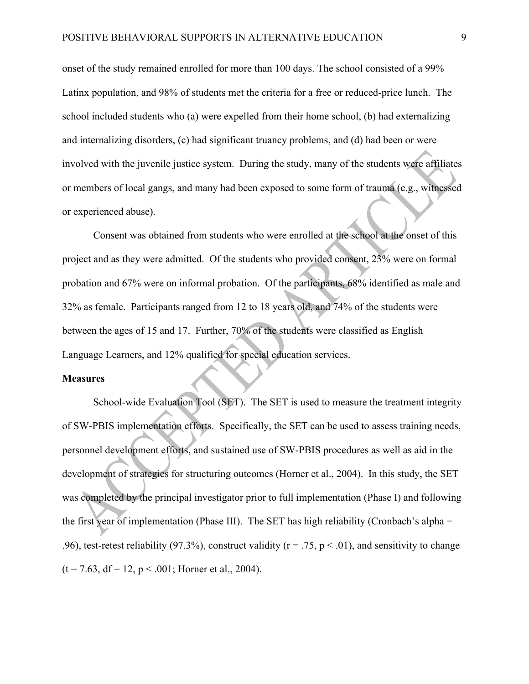onset of the study remained enrolled for more than 100 days. The school consisted of a 99% Latinx population, and 98% of students met the criteria for a free or reduced-price lunch. The school included students who (a) were expelled from their home school, (b) had externalizing and internalizing disorders, (c) had significant truancy problems, and (d) had been or were involved with the juvenile justice system. During the study, many of the students were affiliates or members of local gangs, and many had been exposed to some form of trauma (e.g., witnessed or experienced abuse).

Consent was obtained from students who were enrolled at the school at the onset of this project and as they were admitted. Of the students who provided consent, 23% were on formal probation and 67% were on informal probation. Of the participants, 68% identified as male and 32% as female. Participants ranged from 12 to 18 years old, and 74% of the students were between the ages of 15 and 17. Further, 70% of the students were classified as English Language Learners, and 12% qualified for special education services.

#### **Measures**

School-wide Evaluation Tool (SET). The SET is used to measure the treatment integrity of SW-PBIS implementation efforts. Specifically, the SET can be used to assess training needs, personnel development efforts, and sustained use of SW-PBIS procedures as well as aid in the development of strategies for structuring outcomes (Horner et al., 2004). In this study, the SET was completed by the principal investigator prior to full implementation (Phase I) and following the first year of implementation (Phase III). The SET has high reliability (Cronbach's alpha = .96), test-retest reliability (97.3%), construct validity ( $r = .75$ ,  $p < .01$ ), and sensitivity to change  $(t = 7.63, df = 12, p < .001$ ; Horner et al., 2004).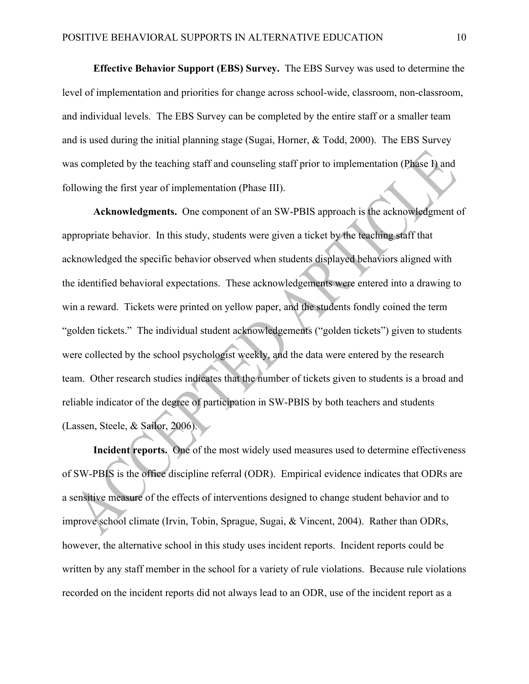**Effective Behavior Support (EBS) Survey.** The EBS Survey was used to determine the level of implementation and priorities for change across school-wide, classroom, non-classroom, and individual levels. The EBS Survey can be completed by the entire staff or a smaller team and is used during the initial planning stage (Sugai, Horner, & Todd, 2000). The EBS Survey was completed by the teaching staff and counseling staff prior to implementation (Phase I) and following the first year of implementation (Phase III).

**Acknowledgments.** One component of an SW-PBIS approach is the acknowledgment of appropriate behavior. In this study, students were given a ticket by the teaching staff that acknowledged the specific behavior observed when students displayed behaviors aligned with the identified behavioral expectations. These acknowledgements were entered into a drawing to win a reward. Tickets were printed on yellow paper, and the students fondly coined the term "golden tickets." The individual student acknowledgements ("golden tickets") given to students were collected by the school psychologist weekly, and the data were entered by the research team. Other research studies indicates that the number of tickets given to students is a broad and reliable indicator of the degree of participation in SW-PBIS by both teachers and students (Lassen, Steele, & Sailor, 2006).

**Incident reports.** One of the most widely used measures used to determine effectiveness of SW-PBIS is the office discipline referral (ODR). Empirical evidence indicates that ODRs are a sensitive measure of the effects of interventions designed to change student behavior and to improve school climate (Irvin, Tobin, Sprague, Sugai, & Vincent, 2004). Rather than ODRs, however, the alternative school in this study uses incident reports. Incident reports could be written by any staff member in the school for a variety of rule violations. Because rule violations recorded on the incident reports did not always lead to an ODR, use of the incident report as a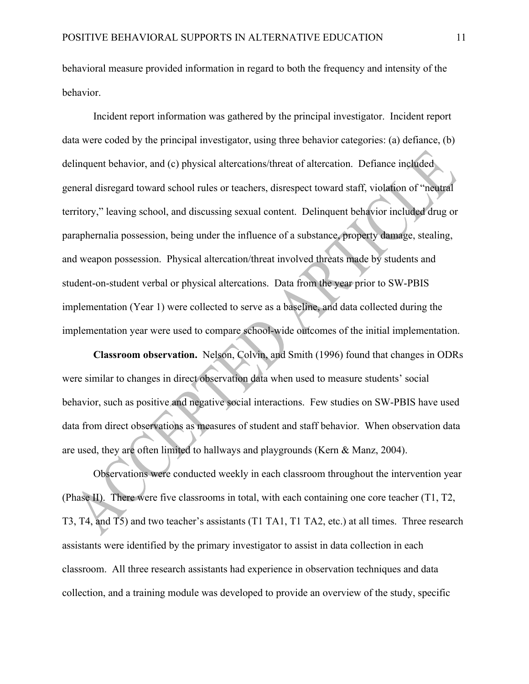behavioral measure provided information in regard to both the frequency and intensity of the behavior.

Incident report information was gathered by the principal investigator. Incident report data were coded by the principal investigator, using three behavior categories: (a) defiance, (b) delinquent behavior, and (c) physical altercations/threat of altercation. Defiance included general disregard toward school rules or teachers, disrespect toward staff, violation of "neutral territory," leaving school, and discussing sexual content. Delinquent behavior included drug or paraphernalia possession, being under the influence of a substance, property damage, stealing, and weapon possession. Physical altercation/threat involved threats made by students and student-on-student verbal or physical altercations. Data from the year prior to SW-PBIS implementation (Year 1) were collected to serve as a baseline, and data collected during the implementation year were used to compare school-wide outcomes of the initial implementation.

**Classroom observation.** Nelson, Colvin, and Smith (1996) found that changes in ODRs were similar to changes in direct observation data when used to measure students' social behavior, such as positive and negative social interactions. Few studies on SW-PBIS have used data from direct observations as measures of student and staff behavior. When observation data are used, they are often limited to hallways and playgrounds (Kern & Manz, 2004).

Observations were conducted weekly in each classroom throughout the intervention year (Phase II). There were five classrooms in total, with each containing one core teacher (T1, T2, T3, T4, and T5) and two teacher's assistants (T1 TA1, T1 TA2, etc.) at all times. Three research assistants were identified by the primary investigator to assist in data collection in each classroom. All three research assistants had experience in observation techniques and data collection, and a training module was developed to provide an overview of the study, specific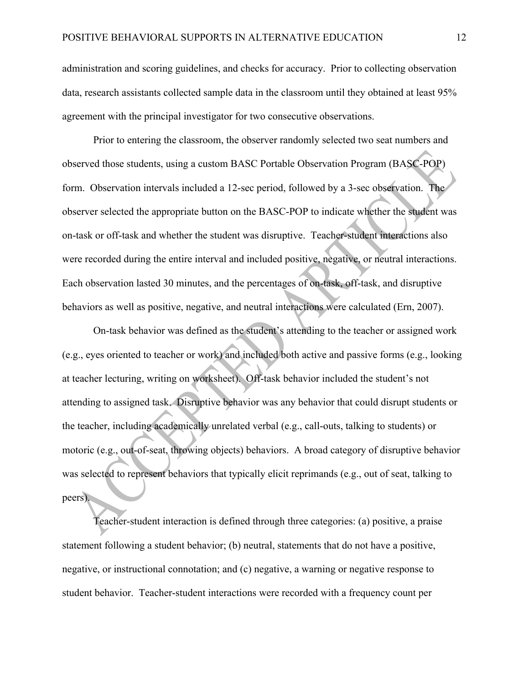administration and scoring guidelines, and checks for accuracy. Prior to collecting observation data, research assistants collected sample data in the classroom until they obtained at least 95% agreement with the principal investigator for two consecutive observations.

Prior to entering the classroom, the observer randomly selected two seat numbers and observed those students, using a custom BASC Portable Observation Program (BASC-POP) form. Observation intervals included a 12-sec period, followed by a 3-sec observation. The observer selected the appropriate button on the BASC-POP to indicate whether the student was on-task or off-task and whether the student was disruptive. Teacher-student interactions also were recorded during the entire interval and included positive, negative, or neutral interactions. Each observation lasted 30 minutes, and the percentages of on-task, off-task, and disruptive behaviors as well as positive, negative, and neutral interactions were calculated (Ern, 2007).

On-task behavior was defined as the student's attending to the teacher or assigned work (e.g., eyes oriented to teacher or work) and included both active and passive forms (e.g., looking at teacher lecturing, writing on worksheet). Off-task behavior included the student's not attending to assigned task. Disruptive behavior was any behavior that could disrupt students or the teacher, including academically unrelated verbal (e.g., call-outs, talking to students) or motoric (e.g., out-of-seat, throwing objects) behaviors. A broad category of disruptive behavior was selected to represent behaviors that typically elicit reprimands (e.g., out of seat, talking to peers).

Teacher-student interaction is defined through three categories: (a) positive, a praise statement following a student behavior; (b) neutral, statements that do not have a positive, negative, or instructional connotation; and (c) negative, a warning or negative response to student behavior. Teacher-student interactions were recorded with a frequency count per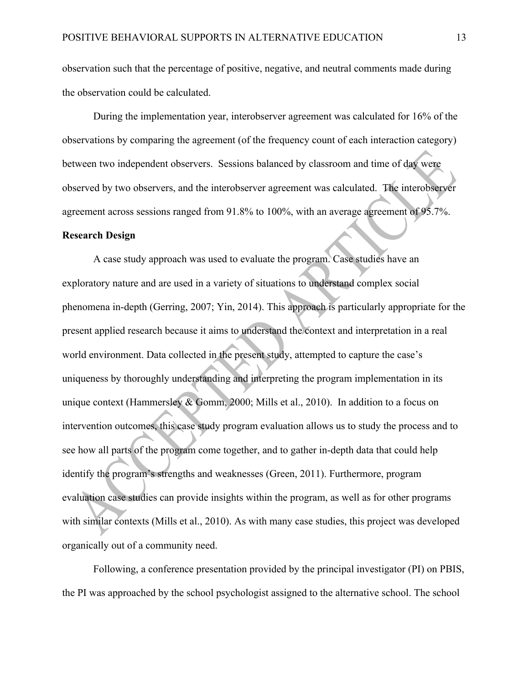observation such that the percentage of positive, negative, and neutral comments made during the observation could be calculated.

During the implementation year, interobserver agreement was calculated for 16% of the observations by comparing the agreement (of the frequency count of each interaction category) between two independent observers. Sessions balanced by classroom and time of day were observed by two observers, and the interobserver agreement was calculated. The interobserver agreement across sessions ranged from 91.8% to 100%, with an average agreement of 95.7%.

#### **Research Design**

A case study approach was used to evaluate the program. Case studies have an exploratory nature and are used in a variety of situations to understand complex social phenomena in-depth (Gerring, 2007; Yin, 2014). This approach is particularly appropriate for the present applied research because it aims to understand the context and interpretation in a real world environment. Data collected in the present study, attempted to capture the case's uniqueness by thoroughly understanding and interpreting the program implementation in its unique context (Hammersley & Gomm, 2000; Mills et al., 2010). In addition to a focus on intervention outcomes, this case study program evaluation allows us to study the process and to see how all parts of the program come together, and to gather in-depth data that could help identify the program's strengths and weaknesses (Green, 2011). Furthermore, program evaluation case studies can provide insights within the program, as well as for other programs with similar contexts (Mills et al., 2010). As with many case studies, this project was developed organically out of a community need.

Following, a conference presentation provided by the principal investigator (PI) on PBIS, the PI was approached by the school psychologist assigned to the alternative school. The school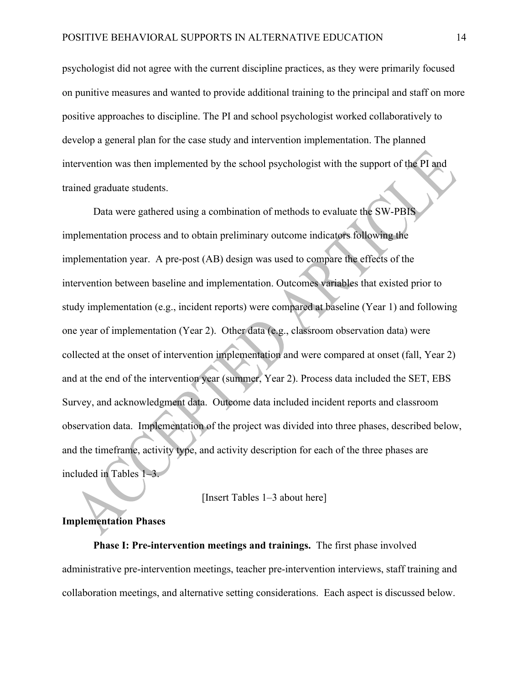psychologist did not agree with the current discipline practices, as they were primarily focused on punitive measures and wanted to provide additional training to the principal and staff on more positive approaches to discipline. The PI and school psychologist worked collaboratively to develop a general plan for the case study and intervention implementation. The planned intervention was then implemented by the school psychologist with the support of the PI and trained graduate students.

Data were gathered using a combination of methods to evaluate the SW-PBIS implementation process and to obtain preliminary outcome indicators following the implementation year. A pre-post (AB) design was used to compare the effects of the intervention between baseline and implementation. Outcomes variables that existed prior to study implementation (e.g., incident reports) were compared at baseline (Year 1) and following one year of implementation (Year 2). Other data (e.g., classroom observation data) were collected at the onset of intervention implementation and were compared at onset (fall, Year 2) and at the end of the intervention year (summer, Year 2). Process data included the SET, EBS Survey, and acknowledgment data. Outcome data included incident reports and classroom observation data. Implementation of the project was divided into three phases, described below, and the timeframe, activity type, and activity description for each of the three phases are included in Tables 1–3.

[Insert Tables 1–3 about here]

#### **Implementation Phases**

**Phase I: Pre-intervention meetings and trainings.** The first phase involved administrative pre-intervention meetings, teacher pre-intervention interviews, staff training and collaboration meetings, and alternative setting considerations. Each aspect is discussed below.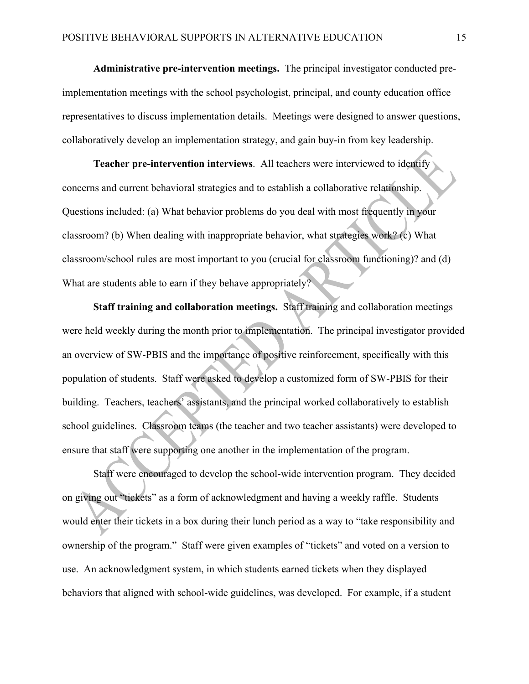**Administrative pre-intervention meetings.** The principal investigator conducted preimplementation meetings with the school psychologist, principal, and county education office representatives to discuss implementation details. Meetings were designed to answer questions, collaboratively develop an implementation strategy, and gain buy-in from key leadership.

**Teacher pre-intervention interviews**. All teachers were interviewed to identify concerns and current behavioral strategies and to establish a collaborative relationship. Questions included: (a) What behavior problems do you deal with most frequently in your classroom? (b) When dealing with inappropriate behavior, what strategies work? (c) What classroom/school rules are most important to you (crucial for classroom functioning)? and (d) What are students able to earn if they behave appropriately?

**Staff training and collaboration meetings.** Staff training and collaboration meetings were held weekly during the month prior to implementation. The principal investigator provided an overview of SW-PBIS and the importance of positive reinforcement, specifically with this population of students. Staff were asked to develop a customized form of SW-PBIS for their building. Teachers, teachers' assistants, and the principal worked collaboratively to establish school guidelines. Classroom teams (the teacher and two teacher assistants) were developed to ensure that staff were supporting one another in the implementation of the program.

Staff were encouraged to develop the school-wide intervention program. They decided on giving out "tickets" as a form of acknowledgment and having a weekly raffle. Students would enter their tickets in a box during their lunch period as a way to "take responsibility and ownership of the program." Staff were given examples of "tickets" and voted on a version to use. An acknowledgment system, in which students earned tickets when they displayed behaviors that aligned with school-wide guidelines, was developed. For example, if a student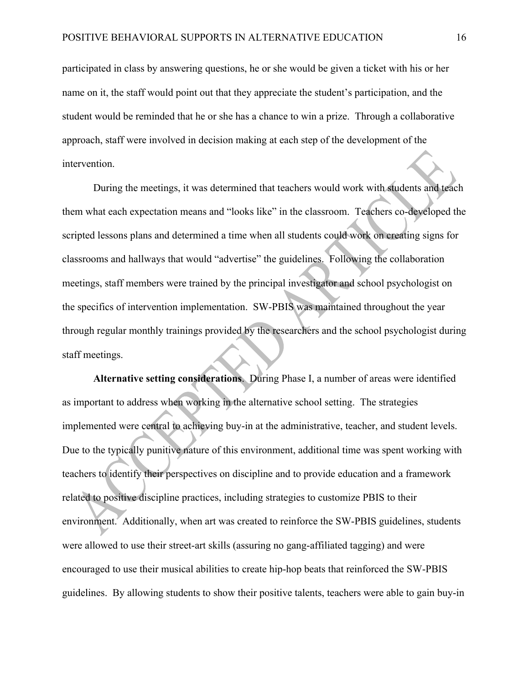participated in class by answering questions, he or she would be given a ticket with his or her name on it, the staff would point out that they appreciate the student's participation, and the student would be reminded that he or she has a chance to win a prize. Through a collaborative approach, staff were involved in decision making at each step of the development of the intervention.

During the meetings, it was determined that teachers would work with students and teach them what each expectation means and "looks like" in the classroom. Teachers co-developed the scripted lessons plans and determined a time when all students could work on creating signs for classrooms and hallways that would "advertise" the guidelines. Following the collaboration meetings, staff members were trained by the principal investigator and school psychologist on the specifics of intervention implementation. SW-PBIS was maintained throughout the year through regular monthly trainings provided by the researchers and the school psychologist during staff meetings.

**Alternative setting considerations**. During Phase I, a number of areas were identified as important to address when working in the alternative school setting. The strategies implemented were central to achieving buy-in at the administrative, teacher, and student levels. Due to the typically punitive nature of this environment, additional time was spent working with teachers to identify their perspectives on discipline and to provide education and a framework related to positive discipline practices, including strategies to customize PBIS to their environment. Additionally, when art was created to reinforce the SW-PBIS guidelines, students were allowed to use their street-art skills (assuring no gang-affiliated tagging) and were encouraged to use their musical abilities to create hip-hop beats that reinforced the SW-PBIS guidelines. By allowing students to show their positive talents, teachers were able to gain buy-in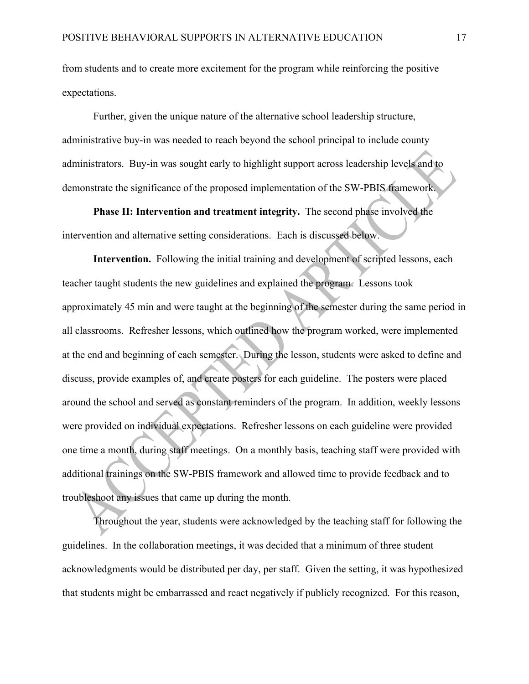from students and to create more excitement for the program while reinforcing the positive expectations.

Further, given the unique nature of the alternative school leadership structure, administrative buy-in was needed to reach beyond the school principal to include county administrators. Buy-in was sought early to highlight support across leadership levels and to demonstrate the significance of the proposed implementation of the SW-PBIS framework.

**Phase II: Intervention and treatment integrity.** The second phase involved the intervention and alternative setting considerations. Each is discussed below.

**Intervention.** Following the initial training and development of scripted lessons, each teacher taught students the new guidelines and explained the program. Lessons took approximately 45 min and were taught at the beginning of the semester during the same period in all classrooms. Refresher lessons, which outlined how the program worked, were implemented at the end and beginning of each semester. During the lesson, students were asked to define and discuss, provide examples of, and create posters for each guideline. The posters were placed around the school and served as constant reminders of the program. In addition, weekly lessons were provided on individual expectations. Refresher lessons on each guideline were provided one time a month, during staff meetings. On a monthly basis, teaching staff were provided with additional trainings on the SW-PBIS framework and allowed time to provide feedback and to troubleshoot any issues that came up during the month.

Throughout the year, students were acknowledged by the teaching staff for following the guidelines. In the collaboration meetings, it was decided that a minimum of three student acknowledgments would be distributed per day, per staff. Given the setting, it was hypothesized that students might be embarrassed and react negatively if publicly recognized. For this reason,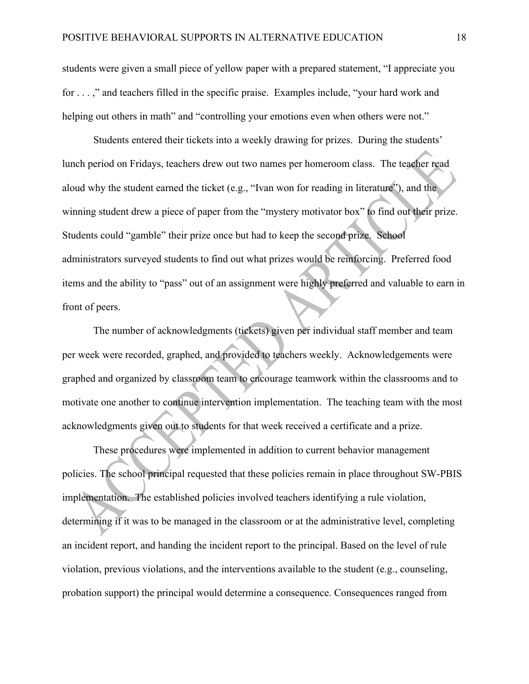students were given a small piece of yellow paper with a prepared statement, "I appreciate you for . . . ," and teachers filled in the specific praise. Examples include, "your hard work and helping out others in math" and "controlling your emotions even when others were not."

Students entered their tickets into a weekly drawing for prizes. During the students' lunch period on Fridays, teachers drew out two names per homeroom class. The teacher read aloud why the student earned the ticket (e.g., "Ivan won for reading in literature"), and the winning student drew a piece of paper from the "mystery motivator box" to find out their prize. Students could "gamble" their prize once but had to keep the second prize. School administrators surveyed students to find out what prizes would be reinforcing. Preferred food items and the ability to "pass" out of an assignment were highly preferred and valuable to earn in front of peers.

The number of acknowledgments (tickets) given per individual staff member and team per week were recorded, graphed, and provided to teachers weekly. Acknowledgements were graphed and organized by classroom team to encourage teamwork within the classrooms and to motivate one another to continue intervention implementation. The teaching team with the most acknowledgments given out to students for that week received a certificate and a prize.

These procedures were implemented in addition to current behavior management policies. The school principal requested that these policies remain in place throughout SW-PBIS implementation. The established policies involved teachers identifying a rule violation, determining if it was to be managed in the classroom or at the administrative level, completing an incident report, and handing the incident report to the principal. Based on the level of rule violation, previous violations, and the interventions available to the student (e.g., counseling, probation support) the principal would determine a consequence. Consequences ranged from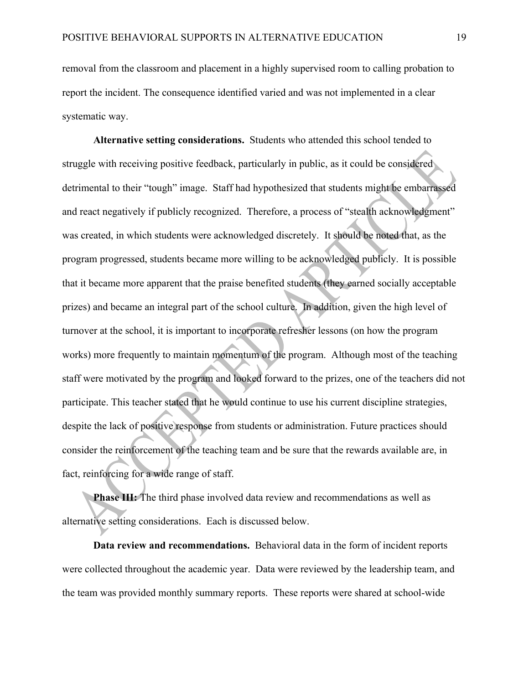removal from the classroom and placement in a highly supervised room to calling probation to report the incident. The consequence identified varied and was not implemented in a clear systematic way.

**Alternative setting considerations.** Students who attended this school tended to struggle with receiving positive feedback, particularly in public, as it could be considered detrimental to their "tough" image. Staff had hypothesized that students might be embarrassed and react negatively if publicly recognized. Therefore, a process of "stealth acknowledgment" was created, in which students were acknowledged discretely. It should be noted that, as the program progressed, students became more willing to be acknowledged publicly. It is possible that it became more apparent that the praise benefited students (they earned socially acceptable prizes) and became an integral part of the school culture. In addition, given the high level of turnover at the school, it is important to incorporate refresher lessons (on how the program works) more frequently to maintain momentum of the program. Although most of the teaching staff were motivated by the program and looked forward to the prizes, one of the teachers did not participate. This teacher stated that he would continue to use his current discipline strategies, despite the lack of positive response from students or administration. Future practices should consider the reinforcement of the teaching team and be sure that the rewards available are, in fact, reinforcing for a wide range of staff.

**Phase III:** The third phase involved data review and recommendations as well as alternative setting considerations. Each is discussed below.

**Data review and recommendations.** Behavioral data in the form of incident reports were collected throughout the academic year. Data were reviewed by the leadership team, and the team was provided monthly summary reports. These reports were shared at school-wide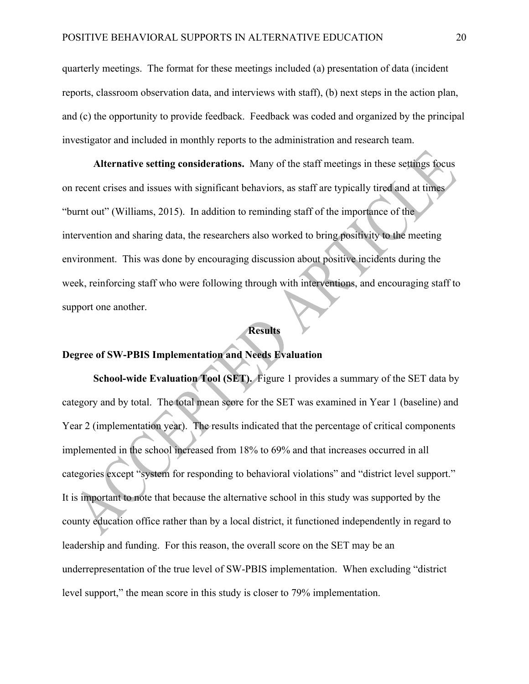quarterly meetings. The format for these meetings included (a) presentation of data (incident reports, classroom observation data, and interviews with staff), (b) next steps in the action plan, and (c) the opportunity to provide feedback. Feedback was coded and organized by the principal investigator and included in monthly reports to the administration and research team.

**Alternative setting considerations.** Many of the staff meetings in these settings focus on recent crises and issues with significant behaviors, as staff are typically tired and at times "burnt out" (Williams, 2015). In addition to reminding staff of the importance of the intervention and sharing data, the researchers also worked to bring positivity to the meeting environment. This was done by encouraging discussion about positive incidents during the week, reinforcing staff who were following through with interventions, and encouraging staff to support one another.

#### **Results**

#### **Degree of SW-PBIS Implementation and Needs Evaluation**

**School-wide Evaluation Tool (SET).** Figure 1 provides a summary of the SET data by category and by total. The total mean score for the SET was examined in Year 1 (baseline) and Year 2 (implementation year). The results indicated that the percentage of critical components implemented in the school increased from 18% to 69% and that increases occurred in all categories except "system for responding to behavioral violations" and "district level support." It is important to note that because the alternative school in this study was supported by the county education office rather than by a local district, it functioned independently in regard to leadership and funding. For this reason, the overall score on the SET may be an underrepresentation of the true level of SW-PBIS implementation. When excluding "district level support," the mean score in this study is closer to 79% implementation.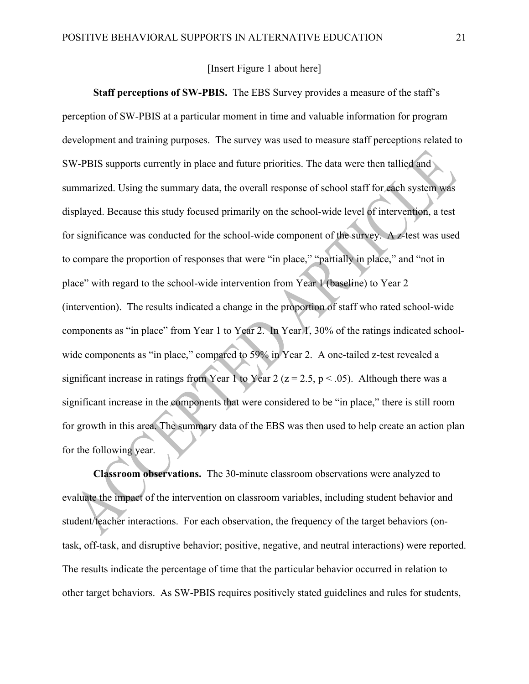#### [Insert Figure 1 about here]

**Staff perceptions of SW-PBIS.** The EBS Survey provides a measure of the staff's perception of SW-PBIS at a particular moment in time and valuable information for program development and training purposes. The survey was used to measure staff perceptions related to SW-PBIS supports currently in place and future priorities. The data were then tallied and summarized. Using the summary data, the overall response of school staff for each system was displayed. Because this study focused primarily on the school-wide level of intervention, a test for significance was conducted for the school-wide component of the survey. A z-test was used to compare the proportion of responses that were "in place," "partially in place," and "not in place" with regard to the school-wide intervention from Year 1 (baseline) to Year 2 (intervention). The results indicated a change in the proportion of staff who rated school-wide components as "in place" from Year 1 to Year 2. In Year 1, 30% of the ratings indicated schoolwide components as "in place," compared to 59% in Year 2. A one-tailed z-test revealed a significant increase in ratings from Year 1 to Year 2 ( $z = 2.5$ ,  $p < .05$ ). Although there was a significant increase in the components that were considered to be "in place," there is still room for growth in this area. The summary data of the EBS was then used to help create an action plan for the following year.

**Classroom observations.** The 30-minute classroom observations were analyzed to evaluate the impact of the intervention on classroom variables, including student behavior and student/teacher interactions. For each observation, the frequency of the target behaviors (ontask, off-task, and disruptive behavior; positive, negative, and neutral interactions) were reported. The results indicate the percentage of time that the particular behavior occurred in relation to other target behaviors. As SW-PBIS requires positively stated guidelines and rules for students,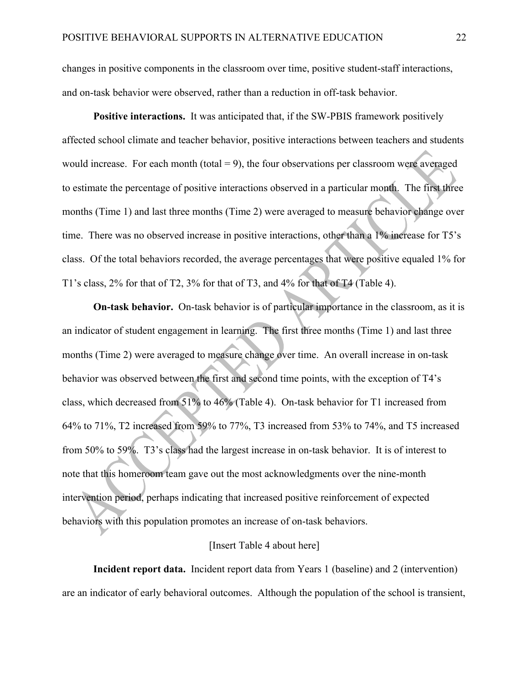changes in positive components in the classroom over time, positive student-staff interactions, and on-task behavior were observed, rather than a reduction in off-task behavior.

**Positive interactions.** It was anticipated that, if the SW-PBIS framework positively affected school climate and teacher behavior, positive interactions between teachers and students would increase. For each month (total  $= 9$ ), the four observations per classroom were averaged to estimate the percentage of positive interactions observed in a particular month. The first three months (Time 1) and last three months (Time 2) were averaged to measure behavior change over time. There was no observed increase in positive interactions, other than a 1% increase for T5's class. Of the total behaviors recorded, the average percentages that were positive equaled 1% for T1's class, 2% for that of T2, 3% for that of T3, and 4% for that of T4 (Table 4).

**On-task behavior.** On-task behavior is of particular importance in the classroom, as it is an indicator of student engagement in learning. The first three months (Time 1) and last three months (Time 2) were averaged to measure change over time. An overall increase in on-task behavior was observed between the first and second time points, with the exception of T4's class, which decreased from 51% to 46% (Table 4). On-task behavior for T1 increased from 64% to 71%, T2 increased from 59% to 77%, T3 increased from 53% to 74%, and T5 increased from 50% to 59%. T3's class had the largest increase in on-task behavior. It is of interest to note that this homeroom team gave out the most acknowledgments over the nine-month intervention period, perhaps indicating that increased positive reinforcement of expected behaviors with this population promotes an increase of on-task behaviors.

#### [Insert Table 4 about here]

**Incident report data.** Incident report data from Years 1 (baseline) and 2 (intervention) are an indicator of early behavioral outcomes. Although the population of the school is transient,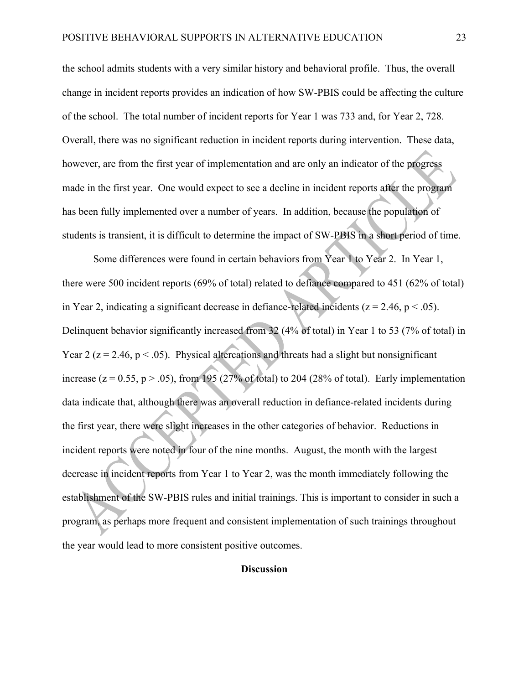the school admits students with a very similar history and behavioral profile. Thus, the overall change in incident reports provides an indication of how SW-PBIS could be affecting the culture of the school. The total number of incident reports for Year 1 was 733 and, for Year 2, 728. Overall, there was no significant reduction in incident reports during intervention. These data, however, are from the first year of implementation and are only an indicator of the progress made in the first year. One would expect to see a decline in incident reports after the program has been fully implemented over a number of years. In addition, because the population of students is transient, it is difficult to determine the impact of SW-PBIS in a short period of time.

Some differences were found in certain behaviors from Year 1 to Year 2. In Year 1, there were 500 incident reports (69% of total) related to defiance compared to 451 (62% of total) in Year 2, indicating a significant decrease in defiance-related incidents ( $z = 2.46$ ,  $p < .05$ ). Delinquent behavior significantly increased from 32 (4% of total) in Year 1 to 53 (7% of total) in Year 2 ( $z = 2.46$ ,  $p < .05$ ). Physical altercations and threats had a slight but nonsignificant increase ( $z = 0.55$ ,  $p > .05$ ), from 195 (27% of total) to 204 (28% of total). Early implementation data indicate that, although there was an overall reduction in defiance-related incidents during the first year, there were slight increases in the other categories of behavior. Reductions in incident reports were noted in four of the nine months. August, the month with the largest decrease in incident reports from Year 1 to Year 2, was the month immediately following the establishment of the SW-PBIS rules and initial trainings. This is important to consider in such a program, as perhaps more frequent and consistent implementation of such trainings throughout the year would lead to more consistent positive outcomes.

#### **Discussion**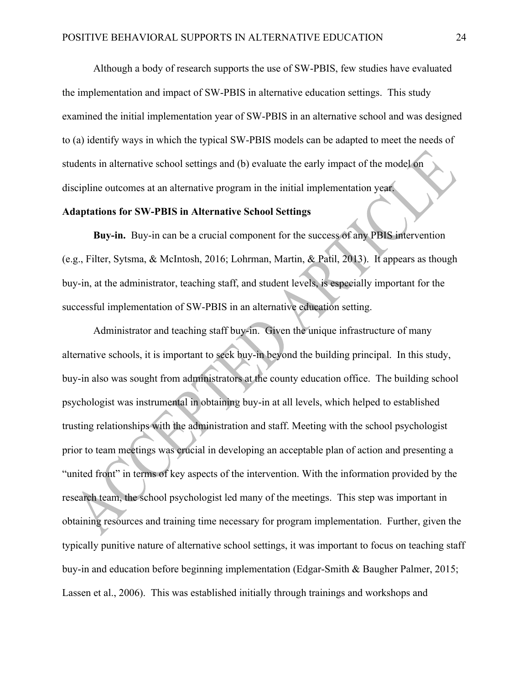Although a body of research supports the use of SW-PBIS, few studies have evaluated the implementation and impact of SW-PBIS in alternative education settings. This study examined the initial implementation year of SW-PBIS in an alternative school and was designed to (a) identify ways in which the typical SW-PBIS models can be adapted to meet the needs of students in alternative school settings and (b) evaluate the early impact of the model on discipline outcomes at an alternative program in the initial implementation year.

#### **Adaptations for SW-PBIS in Alternative School Settings**

**Buy-in.** Buy-in can be a crucial component for the success of any PBIS intervention (e.g., Filter, Sytsma, & McIntosh, 2016; Lohrman, Martin, & Patil, 2013). It appears as though buy-in, at the administrator, teaching staff, and student levels, is especially important for the successful implementation of SW-PBIS in an alternative education setting.

Administrator and teaching staff buy-in. Given the unique infrastructure of many alternative schools, it is important to seek buy-in beyond the building principal. In this study, buy-in also was sought from administrators at the county education office. The building school psychologist was instrumental in obtaining buy-in at all levels, which helped to established trusting relationships with the administration and staff. Meeting with the school psychologist prior to team meetings was crucial in developing an acceptable plan of action and presenting a "united front" in terms of key aspects of the intervention. With the information provided by the research team, the school psychologist led many of the meetings. This step was important in obtaining resources and training time necessary for program implementation. Further, given the typically punitive nature of alternative school settings, it was important to focus on teaching staff buy-in and education before beginning implementation (Edgar-Smith & Baugher Palmer, 2015; Lassen et al., 2006). This was established initially through trainings and workshops and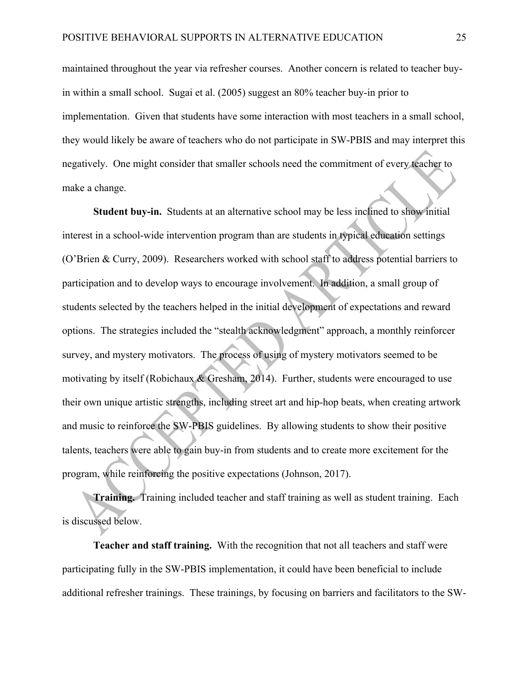maintained throughout the year via refresher courses. Another concern is related to teacher buyin within a small school. Sugai et al. (2005) suggest an 80% teacher buy-in prior to implementation. Given that students have some interaction with most teachers in a small school, they would likely be aware of teachers who do not participate in SW-PBIS and may interpret this negatively. One might consider that smaller schools need the commitment of every teacher to make a change.

**Student buy-in.** Students at an alternative school may be less inclined to show initial interest in a school-wide intervention program than are students in typical education settings (O'Brien & Curry, 2009). Researchers worked with school staff to address potential barriers to participation and to develop ways to encourage involvement. In addition, a small group of students selected by the teachers helped in the initial development of expectations and reward options. The strategies included the "stealth acknowledgment" approach, a monthly reinforcer survey, and mystery motivators. The process of using of mystery motivators seemed to be motivating by itself (Robichaux & Gresham, 2014). Further, students were encouraged to use their own unique artistic strengths, including street art and hip-hop beats, when creating artwork and music to reinforce the SW-PBIS guidelines. By allowing students to show their positive talents, teachers were able to gain buy-in from students and to create more excitement for the program, while reinforcing the positive expectations (Johnson, 2017).

**Training.** Training included teacher and staff training as well as student training. Each is discussed below.

**Teacher and staff training.** With the recognition that not all teachers and staff were participating fully in the SW-PBIS implementation, it could have been beneficial to include additional refresher trainings. These trainings, by focusing on barriers and facilitators to the SW-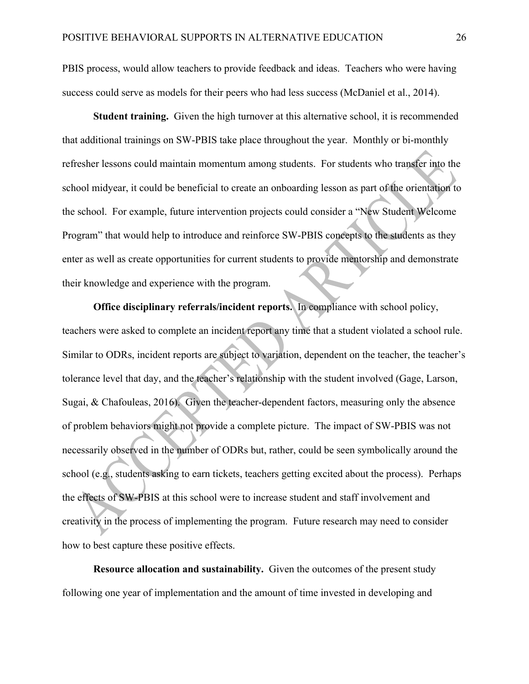PBIS process, would allow teachers to provide feedback and ideas. Teachers who were having success could serve as models for their peers who had less success (McDaniel et al., 2014).

**Student training.** Given the high turnover at this alternative school, it is recommended that additional trainings on SW-PBIS take place throughout the year. Monthly or bi-monthly refresher lessons could maintain momentum among students. For students who transfer into the school midyear, it could be beneficial to create an onboarding lesson as part of the orientation to the school. For example, future intervention projects could consider a "New Student Welcome Program" that would help to introduce and reinforce SW-PBIS concepts to the students as they enter as well as create opportunities for current students to provide mentorship and demonstrate their knowledge and experience with the program.

**Office disciplinary referrals/incident reports.** In compliance with school policy, teachers were asked to complete an incident report any time that a student violated a school rule. Similar to ODRs, incident reports are subject to variation, dependent on the teacher, the teacher's tolerance level that day, and the teacher's relationship with the student involved (Gage, Larson, Sugai, & Chafouleas, 2016). Given the teacher-dependent factors, measuring only the absence of problem behaviors might not provide a complete picture. The impact of SW-PBIS was not necessarily observed in the number of ODRs but, rather, could be seen symbolically around the school (e.g., students asking to earn tickets, teachers getting excited about the process). Perhaps the effects of SW-PBIS at this school were to increase student and staff involvement and creativity in the process of implementing the program. Future research may need to consider how to best capture these positive effects.

**Resource allocation and sustainability.** Given the outcomes of the present study following one year of implementation and the amount of time invested in developing and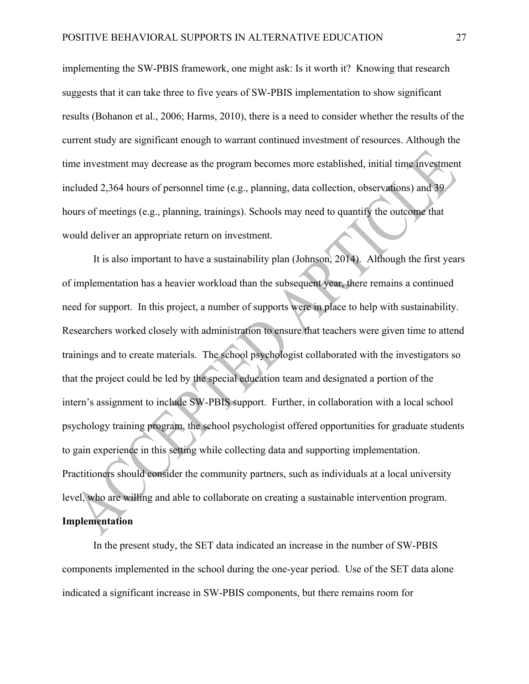implementing the SW-PBIS framework, one might ask: Is it worth it? Knowing that research suggests that it can take three to five years of SW-PBIS implementation to show significant results (Bohanon et al., 2006; Harms, 2010), there is a need to consider whether the results of the current study are significant enough to warrant continued investment of resources. Although the time investment may decrease as the program becomes more established, initial time investment included 2,364 hours of personnel time (e.g., planning, data collection, observations) and 39 hours of meetings (e.g., planning, trainings). Schools may need to quantify the outcome that would deliver an appropriate return on investment.

It is also important to have a sustainability plan (Johnson, 2014). Although the first years of implementation has a heavier workload than the subsequent year, there remains a continued need for support. In this project, a number of supports were in place to help with sustainability. Researchers worked closely with administration to ensure that teachers were given time to attend trainings and to create materials. The school psychologist collaborated with the investigators so that the project could be led by the special education team and designated a portion of the intern's assignment to include SW-PBIS support. Further, in collaboration with a local school psychology training program, the school psychologist offered opportunities for graduate students to gain experience in this setting while collecting data and supporting implementation. Practitioners should consider the community partners, such as individuals at a local university level, who are willing and able to collaborate on creating a sustainable intervention program. **Implementation**

In the present study, the SET data indicated an increase in the number of SW-PBIS components implemented in the school during the one-year period. Use of the SET data alone indicated a significant increase in SW-PBIS components, but there remains room for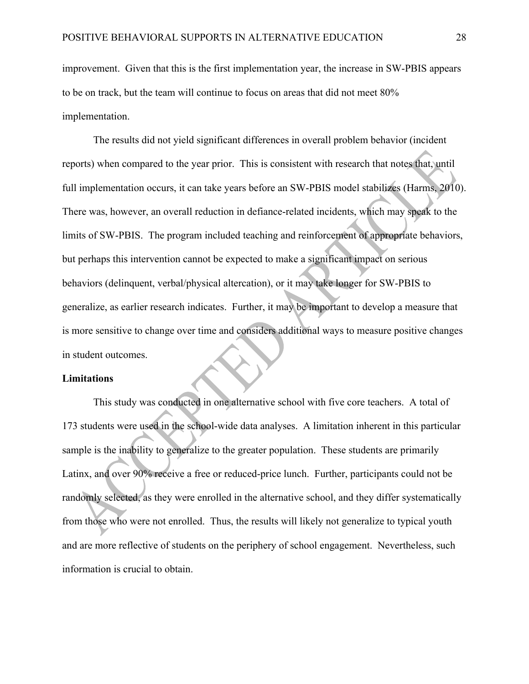improvement. Given that this is the first implementation year, the increase in SW-PBIS appears to be on track, but the team will continue to focus on areas that did not meet 80% implementation.

The results did not yield significant differences in overall problem behavior (incident reports) when compared to the year prior. This is consistent with research that notes that, until full implementation occurs, it can take years before an SW-PBIS model stabilizes (Harms, 2010). There was, however, an overall reduction in defiance-related incidents, which may speak to the limits of SW-PBIS. The program included teaching and reinforcement of appropriate behaviors, but perhaps this intervention cannot be expected to make a significant impact on serious behaviors (delinquent, verbal/physical altercation), or it may take longer for SW-PBIS to generalize, as earlier research indicates. Further, it may be important to develop a measure that is more sensitive to change over time and considers additional ways to measure positive changes in student outcomes.

#### **Limitations**

This study was conducted in one alternative school with five core teachers. A total of 173 students were used in the school-wide data analyses. A limitation inherent in this particular sample is the inability to generalize to the greater population. These students are primarily Latinx, and over 90% receive a free or reduced-price lunch. Further, participants could not be randomly selected, as they were enrolled in the alternative school, and they differ systematically from those who were not enrolled. Thus, the results will likely not generalize to typical youth and are more reflective of students on the periphery of school engagement. Nevertheless, such information is crucial to obtain.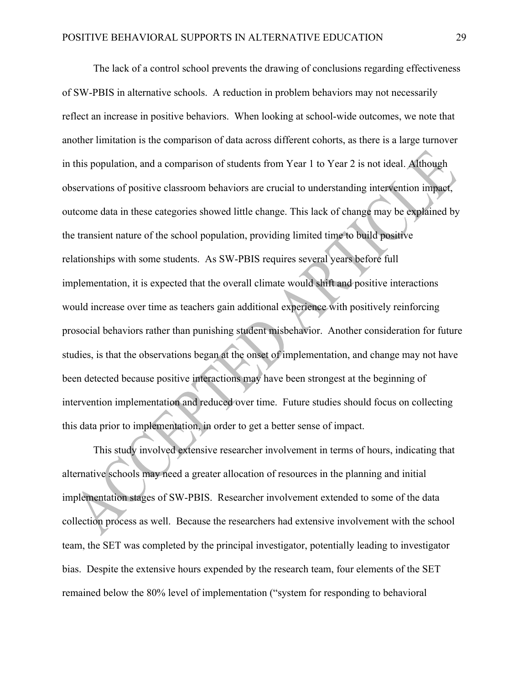The lack of a control school prevents the drawing of conclusions regarding effectiveness of SW-PBIS in alternative schools. A reduction in problem behaviors may not necessarily reflect an increase in positive behaviors. When looking at school-wide outcomes, we note that another limitation is the comparison of data across different cohorts, as there is a large turnover in this population, and a comparison of students from Year 1 to Year 2 is not ideal. Although observations of positive classroom behaviors are crucial to understanding intervention impact, outcome data in these categories showed little change. This lack of change may be explained by the transient nature of the school population, providing limited time to build positive relationships with some students. As SW-PBIS requires several years before full implementation, it is expected that the overall climate would shift and positive interactions would increase over time as teachers gain additional experience with positively reinforcing prosocial behaviors rather than punishing student misbehavior. Another consideration for future studies, is that the observations began at the onset of implementation, and change may not have been detected because positive interactions may have been strongest at the beginning of intervention implementation and reduced over time. Future studies should focus on collecting this data prior to implementation, in order to get a better sense of impact.

This study involved extensive researcher involvement in terms of hours, indicating that alternative schools may need a greater allocation of resources in the planning and initial implementation stages of SW-PBIS. Researcher involvement extended to some of the data collection process as well. Because the researchers had extensive involvement with the school team, the SET was completed by the principal investigator, potentially leading to investigator bias. Despite the extensive hours expended by the research team, four elements of the SET remained below the 80% level of implementation ("system for responding to behavioral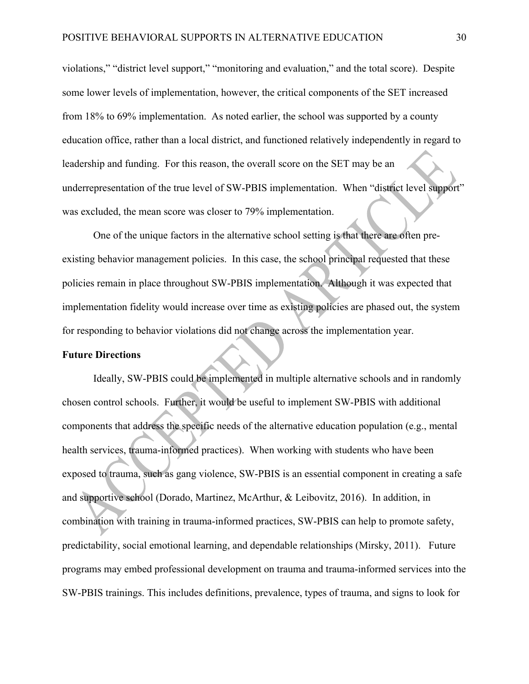violations," "district level support," "monitoring and evaluation," and the total score). Despite some lower levels of implementation, however, the critical components of the SET increased from 18% to 69% implementation. As noted earlier, the school was supported by a county education office, rather than a local district, and functioned relatively independently in regard to leadership and funding. For this reason, the overall score on the SET may be an underrepresentation of the true level of SW-PBIS implementation. When "district level support" was excluded, the mean score was closer to 79% implementation.

One of the unique factors in the alternative school setting is that there are often preexisting behavior management policies. In this case, the school principal requested that these policies remain in place throughout SW-PBIS implementation. Although it was expected that implementation fidelity would increase over time as existing policies are phased out, the system for responding to behavior violations did not change across the implementation year.

#### **Future Directions**

Ideally, SW-PBIS could be implemented in multiple alternative schools and in randomly chosen control schools. Further, it would be useful to implement SW-PBIS with additional components that address the specific needs of the alternative education population (e.g., mental health services, trauma-informed practices). When working with students who have been exposed to trauma, such as gang violence, SW-PBIS is an essential component in creating a safe and supportive school (Dorado, Martinez, McArthur, & Leibovitz, 2016). In addition, in combination with training in trauma-informed practices, SW-PBIS can help to promote safety, predictability, social emotional learning, and dependable relationships (Mirsky, 2011). Future programs may embed professional development on trauma and trauma-informed services into the SW-PBIS trainings. This includes definitions, prevalence, types of trauma, and signs to look for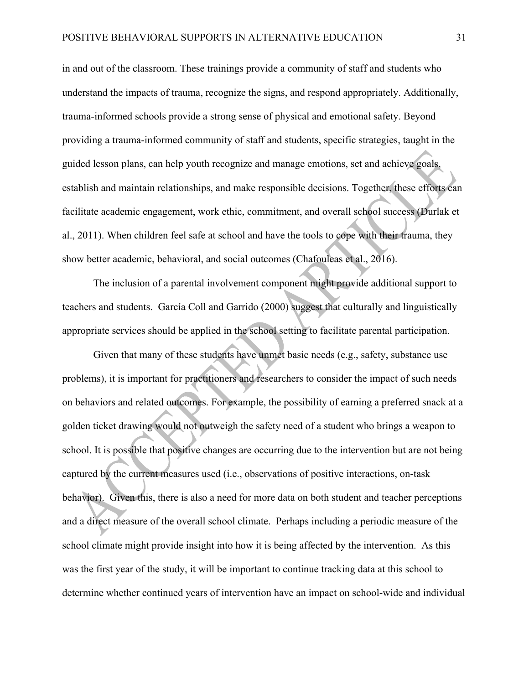in and out of the classroom. These trainings provide a community of staff and students who understand the impacts of trauma, recognize the signs, and respond appropriately. Additionally, trauma-informed schools provide a strong sense of physical and emotional safety. Beyond providing a trauma-informed community of staff and students, specific strategies, taught in the guided lesson plans, can help youth recognize and manage emotions, set and achieve goals, establish and maintain relationships, and make responsible decisions. Together, these efforts can facilitate academic engagement, work ethic, commitment, and overall school success (Durlak et al., 2011). When children feel safe at school and have the tools to cope with their trauma, they show better academic, behavioral, and social outcomes (Chafouleas et al., 2016).

The inclusion of a parental involvement component might provide additional support to teachers and students. García Coll and Garrido (2000) suggest that culturally and linguistically appropriate services should be applied in the school setting to facilitate parental participation.

Given that many of these students have unmet basic needs (e.g., safety, substance use problems), it is important for practitioners and researchers to consider the impact of such needs on behaviors and related outcomes. For example, the possibility of earning a preferred snack at a golden ticket drawing would not outweigh the safety need of a student who brings a weapon to school. It is possible that positive changes are occurring due to the intervention but are not being captured by the current measures used (i.e., observations of positive interactions, on-task behavior). Given this, there is also a need for more data on both student and teacher perceptions and a direct measure of the overall school climate. Perhaps including a periodic measure of the school climate might provide insight into how it is being affected by the intervention. As this was the first year of the study, it will be important to continue tracking data at this school to determine whether continued years of intervention have an impact on school-wide and individual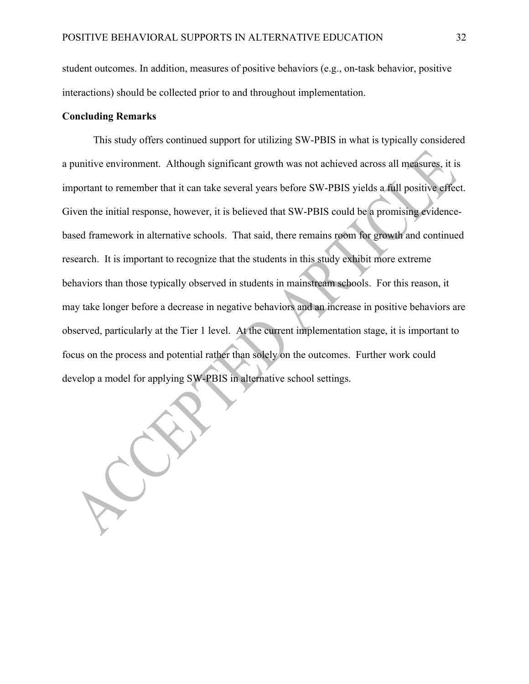student outcomes. In addition, measures of positive behaviors (e.g., on-task behavior, positive interactions) should be collected prior to and throughout implementation.

#### **Concluding Remarks**

This study offers continued support for utilizing SW-PBIS in what is typically considered a punitive environment. Although significant growth was not achieved across all measures, it is important to remember that it can take several years before SW-PBIS yields a full positive effect. Given the initial response, however, it is believed that SW-PBIS could be a promising evidencebased framework in alternative schools. That said, there remains room for growth and continued research. It is important to recognize that the students in this study exhibit more extreme behaviors than those typically observed in students in mainstream schools. For this reason, it may take longer before a decrease in negative behaviors and an increase in positive behaviors are observed, particularly at the Tier 1 level. At the current implementation stage, it is important to focus on the process and potential rather than solely on the outcomes. Further work could develop a model for applying SW-PBIS in alternative school settings.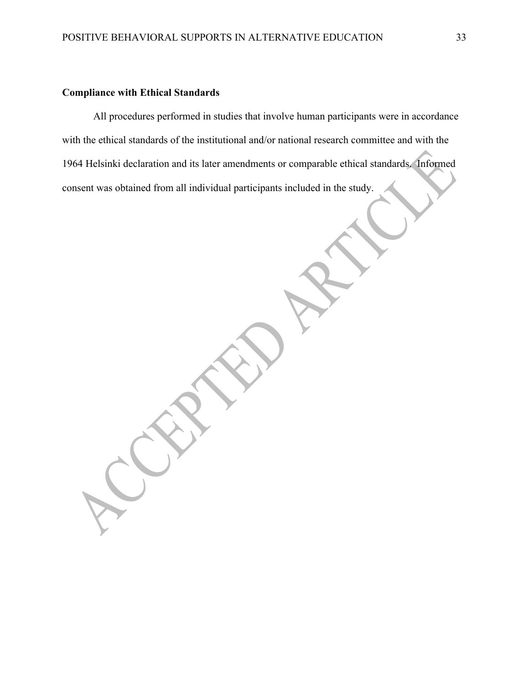## **Compliance with Ethical Standards**

All procedures performed in studies that involve human participants were in accordance with the ethical standards of the institutional and/or national research committee and with the 1964 Helsinki declaration and its later amendments or comparable ethical standards. Informed consent was obtained from all individual participants included in the study.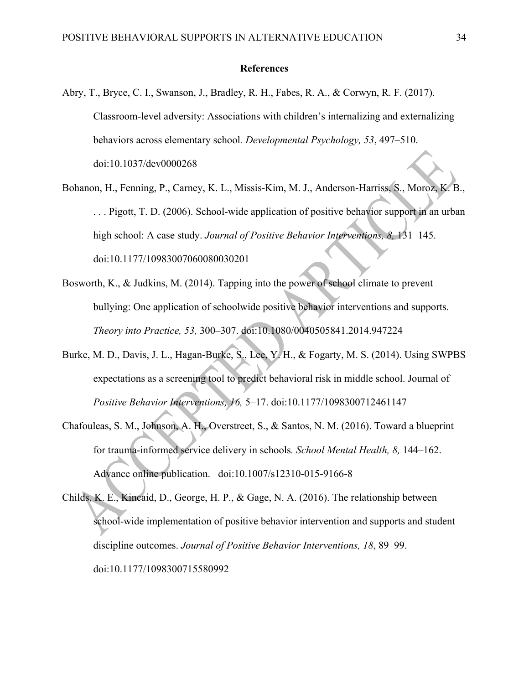#### **References**

- Abry, T., Bryce, C. I., Swanson, J., Bradley, R. H., Fabes, R. A., & Corwyn, R. F. (2017). Classroom-level adversity: Associations with children's internalizing and externalizing behaviors across elementary school*. Developmental Psychology, 53*, 497–510. doi:10.1037/dev0000268
- Bohanon, H., Fenning, P., Carney, K. L., Missis-Kim, M. J., Anderson-Harriss, S., Moroz, K. B., . . . Pigott, T. D. (2006). School-wide application of positive behavior support in an urban high school: A case study. *Journal of Positive Behavior Interventions, 8,* 131–145. doi:10.1177/10983007060080030201
- Bosworth, K., & Judkins, M. (2014). Tapping into the power of school climate to prevent bullying: One application of schoolwide positive behavior interventions and supports. *Theory into Practice, 53,* 300–307. doi:10.1080/0040505841.2014.947224
- Burke, M. D., Davis, J. L., Hagan-Burke, S., Lee, Y. H., & Fogarty, M. S. (2014). Using SWPBS expectations as a screening tool to predict behavioral risk in middle school. Journal of *Positive Behavior Interventions, 16,* 5–17. doi:10.1177/1098300712461147
- Chafouleas, S. M., Johnson, A. H., Overstreet, S., & Santos, N. M. (2016). Toward a blueprint for trauma-informed service delivery in schools*. School Mental Health, 8,* 144–162. Advance online publication. doi:10.1007/s12310-015-9166-8
- Childs, K. E., Kincaid, D., George, H. P., & Gage, N. A. (2016). The relationship between school-wide implementation of positive behavior intervention and supports and student discipline outcomes. *Journal of Positive Behavior Interventions, 18*, 89–99. doi:10.1177/1098300715580992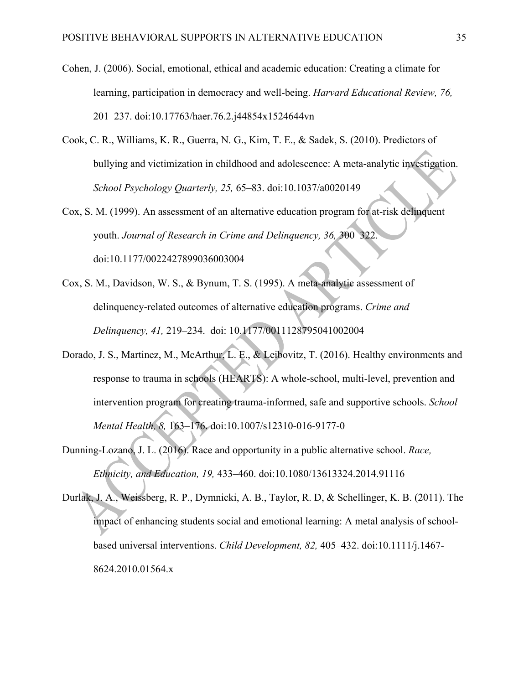- Cohen, J. (2006). Social, emotional, ethical and academic education: Creating a climate for learning, participation in democracy and well-being. *Harvard Educational Review, 76,* 201–237. doi:10.17763/haer.76.2.j44854x1524644vn
- Cook, C. R., Williams, K. R., Guerra, N. G., Kim, T. E., & Sadek, S. (2010). Predictors of bullying and victimization in childhood and adolescence: A meta-analytic investigation. *School Psychology Quarterly, 25,* 65–83. doi:10.1037/a0020149
- Cox, S. M. (1999). An assessment of an alternative education program for at-risk delinquent youth. *Journal of Research in Crime and Delinquency, 36,* 300–322. doi:10.1177/0022427899036003004
- Cox, S. M., Davidson, W. S., & Bynum, T. S. (1995). A meta-analytic assessment of delinquency-related outcomes of alternative education programs. *Crime and Delinquency, 41,* 219–234. doi: 10.1177/0011128795041002004
- Dorado, J. S., Martinez, M., McArthur, L. E., & Leibovitz, T. (2016). Healthy environments and response to trauma in schools (HEARTS): A whole-school, multi-level, prevention and intervention program for creating trauma-informed, safe and supportive schools. *School Mental Health, 8,* 163–176. doi:10.1007/s12310-016-9177-0
- Dunning-Lozano, J. L. (2016). Race and opportunity in a public alternative school. *Race, Ethnicity, and Education, 19,* 433–460. doi:10.1080/13613324.2014.91116
- Durlak, J. A., Weissberg, R. P., Dymnicki, A. B., Taylor, R. D, & Schellinger, K. B. (2011). The impact of enhancing students social and emotional learning: A metal analysis of schoolbased universal interventions. *Child Development, 82,* 405–432. doi:10.1111/j.1467- 8624.2010.01564.x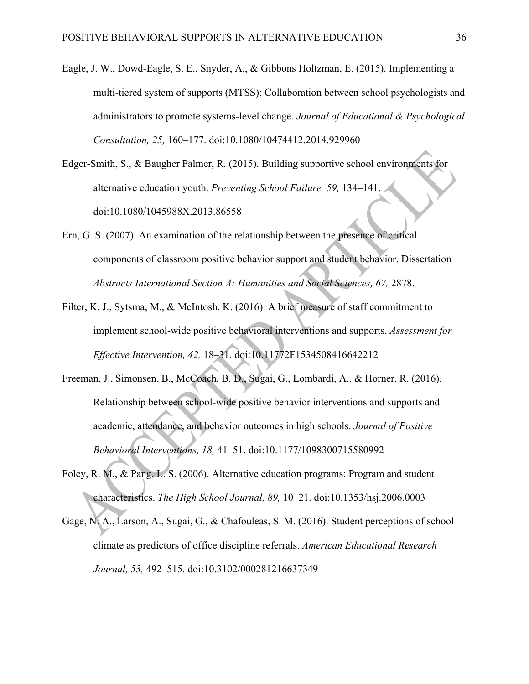- Eagle, J. W., Dowd-Eagle, S. E., Snyder, A., & Gibbons Holtzman, E. (2015). Implementing a multi-tiered system of supports (MTSS): Collaboration between school psychologists and administrators to promote systems-level change. *Journal of Educational & Psychological Consultation, 25,* 160–177. doi:10.1080/10474412.2014.929960
- Edger-Smith, S., & Baugher Palmer, R. (2015). Building supportive school environments for alternative education youth. *Preventing School Failure, 59,* 134–141. doi:10.1080/1045988X.2013.86558
- Ern, G. S. (2007). An examination of the relationship between the presence of critical components of classroom positive behavior support and student behavior. Dissertation *Abstracts International Section A: Humanities and Social Sciences, 67,* 2878.
- Filter, K. J., Sytsma, M., & McIntosh, K. (2016). A brief measure of staff commitment to implement school-wide positive behavioral interventions and supports. *Assessment for Effective Intervention, 42,* 18–31. doi:10.11772F1534508416642212
- Freeman, J., Simonsen, B., McCoach, B. D., Sugai, G., Lombardi, A., & Horner, R. (2016). Relationship between school-wide positive behavior interventions and supports and academic, attendance, and behavior outcomes in high schools. *Journal of Positive Behavioral Interventions, 18,* 41–51. doi:10.1177/1098300715580992
- Foley, R. M., & Pang, L. S. (2006). Alternative education programs: Program and student characteristics. *The High School Journal, 89,* 10–21. doi:10.1353/hsj.2006.0003
- Gage, N. A., Larson, A., Sugai, G., & Chafouleas, S. M. (2016). Student perceptions of school climate as predictors of office discipline referrals. *American Educational Research Journal, 53,* 492–515. doi:10.3102/000281216637349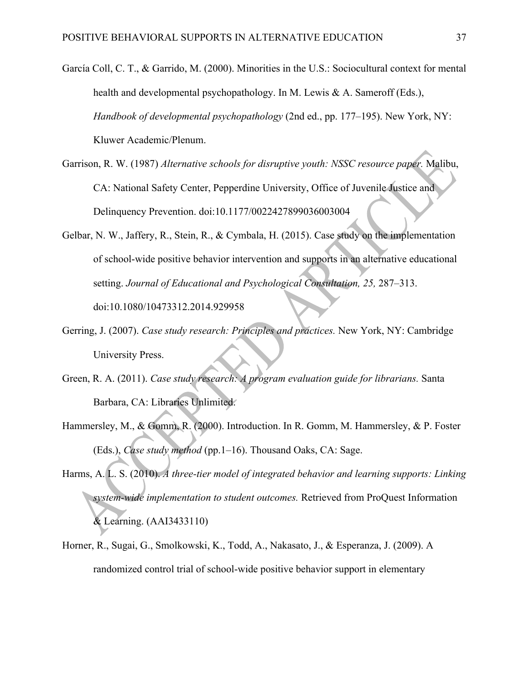García Coll, C. T., & Garrido, M. (2000). Minorities in the U.S.: Sociocultural context for mental health and developmental psychopathology. In M. Lewis & A. Sameroff (Eds.), *Handbook of developmental psychopathology* (2nd ed., pp. 177–195). New York, NY: Kluwer Academic/Plenum.

- Garrison, R. W. (1987) *Alternative schools for disruptive youth: NSSC resource paper.* Malibu, CA: National Safety Center, Pepperdine University, Office of Juvenile Justice and Delinquency Prevention. doi:10.1177/0022427899036003004
- Gelbar, N. W., Jaffery, R., Stein, R., & Cymbala, H. (2015). Case study on the implementation of school-wide positive behavior intervention and supports in an alternative educational setting. *Journal of Educational and Psychological Consultation, 25,* 287–313. doi:10.1080/10473312.2014.929958
- Gerring, J. (2007). *Case study research: Principles and practices.* New York, NY: Cambridge University Press.
- Green, R. A. (2011). *Case study research: A program evaluation guide for librarians.* Santa Barbara, CA: Libraries Unlimited.
- Hammersley, M., & Gomm, R. (2000). Introduction. In R. Gomm, M. Hammersley, & P. Foster (Eds.), *Case study method* (pp.1–16). Thousand Oaks, CA: Sage.
- Harms, A. L. S. (2010). *A three-tier model of integrated behavior and learning supports: Linking system-wide implementation to student outcomes.* Retrieved from ProQuest Information & Learning. (AAI3433110)
- Horner, R., Sugai, G., Smolkowski, K., Todd, A., Nakasato, J., & Esperanza, J. (2009). A randomized control trial of school-wide positive behavior support in elementary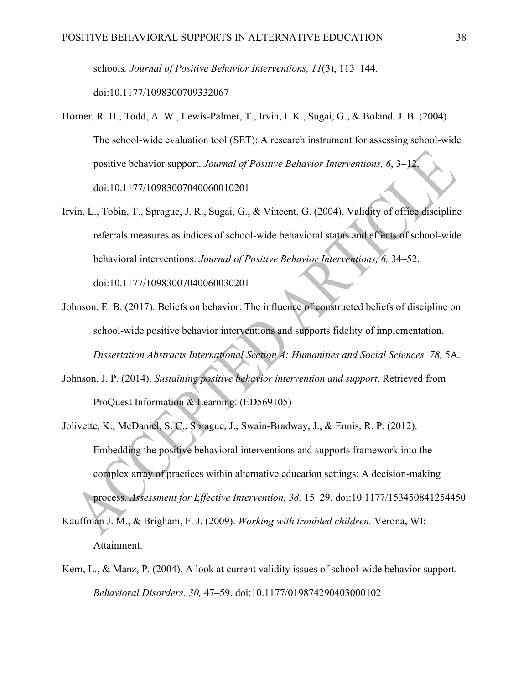schools*. Journal of Positive Behavior Interventions, 11*(3), 113–144. doi:10.1177/1098300709332067

- Horner, R. H., Todd, A. W., Lewis-Palmer, T., Irvin, I. K., Sugai, G., & Boland, J. B. (2004). The school-wide evaluation tool (SET): A research instrument for assessing school-wide positive behavior support. *Journal of Positive Behavior Interventions, 6*, 3–12. doi:10.1177/10983007040060010201
- Irvin, L., Tobin, T., Sprague, J. R., Sugai, G., & Vincent, G. (2004). Validity of office discipline referrals measures as indices of school-wide behavioral status and effects of school-wide behavioral interventions. *Journal of Positive Behavior Interventions, 6,* 34–52. doi:10.1177/10983007040060030201
- Johnson, E. B. (2017). Beliefs on behavior: The influence of constructed beliefs of discipline on school-wide positive behavior interventions and supports fidelity of implementation. *Dissertation Abstracts International Section A: Humanities and Social Sciences, 78,* 5A.
- Johnson, J. P. (2014). *Sustaining positive behavior intervention and support.* Retrieved from ProQuest Information & Learning. (ED569105)
- Jolivette, K., McDaniel, S. C., Sprague, J., Swain-Bradway, J., & Ennis, R. P. (2012). Embedding the positive behavioral interventions and supports framework into the complex array of practices within alternative education settings: A decision-making process. *Assessment for Effective Intervention, 38,* 15–29. doi:10.1177/153450841254450
- Kauffman J. M., & Brigham, F. J. (2009). *Working with troubled children.* Verona, WI: Attainment.
- Kern, L., & Manz, P. (2004). A look at current validity issues of school-wide behavior support. *Behavioral Disorders, 30,* 47–59. doi:10.1177/019874290403000102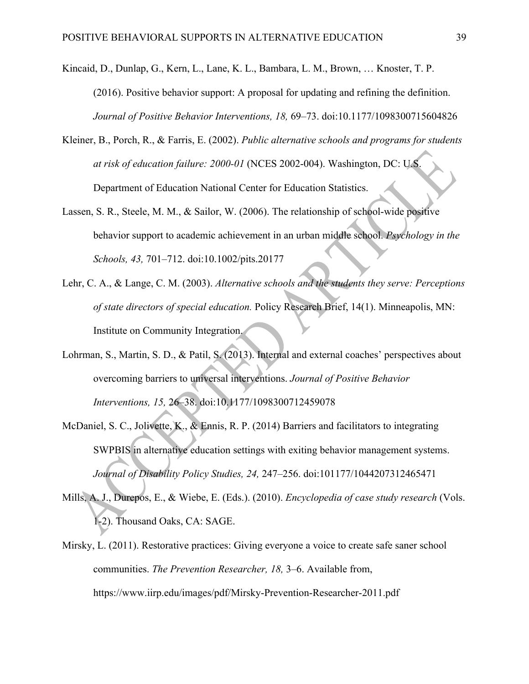- Kincaid, D., Dunlap, G., Kern, L., Lane, K. L., Bambara, L. M., Brown, … Knoster, T. P. (2016). Positive behavior support: A proposal for updating and refining the definition. *Journal of Positive Behavior Interventions, 18,* 69–73. doi:10.1177/1098300715604826
- Kleiner, B., Porch, R., & Farris, E. (2002). *Public alternative schools and programs for students at risk of education failure: 2000-01* (NCES 2002-004). Washington, DC: U.S. Department of Education National Center for Education Statistics.
- Lassen, S. R., Steele, M. M., & Sailor, W. (2006). The relationship of school-wide positive behavior support to academic achievement in an urban middle school. *Psychology in the Schools, 43,* 701–712. doi:10.1002/pits.20177
- Lehr, C. A., & Lange, C. M. (2003). *Alternative schools and the students they serve: Perceptions of state directors of special education.* Policy Research Brief, 14(1). Minneapolis, MN: Institute on Community Integration.
- Lohrman, S., Martin, S. D., & Patil, S. (2013). Internal and external coaches' perspectives about overcoming barriers to universal interventions. *Journal of Positive Behavior Interventions, 15,* 26–38. doi:10.1177/1098300712459078
- McDaniel, S. C., Jolivette, K., & Ennis, R. P. (2014) Barriers and facilitators to integrating SWPBIS in alternative education settings with exiting behavior management systems. *Journal of Disability Policy Studies, 24,* 247–256. doi:101177/1044207312465471
- Mills, A. J., Durepos, E., & Wiebe, E. (Eds.). (2010). *Encyclopedia of case study research* (Vols. 1-2). Thousand Oaks, CA: SAGE.
- Mirsky, L. (2011). Restorative practices: Giving everyone a voice to create safe saner school communities. *The Prevention Researcher, 18,* 3–6. Available from, https://www.iirp.edu/images/pdf/Mirsky-Prevention-Researcher-2011.pdf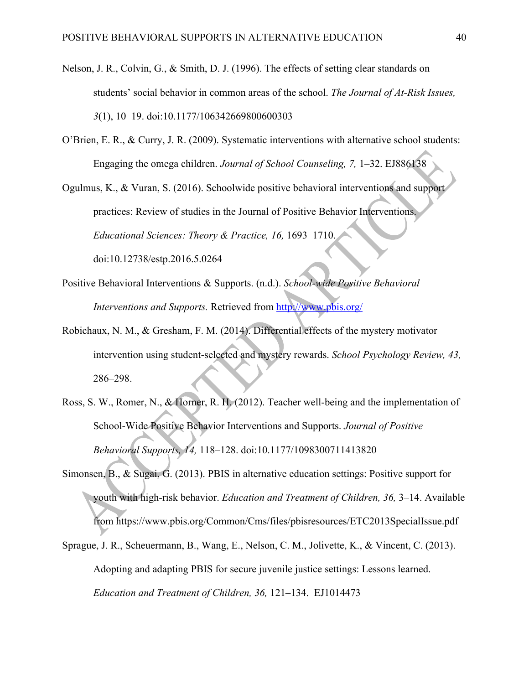- Nelson, J. R., Colvin, G., & Smith, D. J. (1996). The effects of setting clear standards on students' social behavior in common areas of the school. *The Journal of At-Risk Issues, 3*(1), 10–19. doi:10.1177/106342669800600303
- O'Brien, E. R., & Curry, J. R. (2009). Systematic interventions with alternative school students: Engaging the omega children. *Journal of School Counseling, 7,* 1–32. EJ886138

Ogulmus, K., & Vuran, S. (2016). Schoolwide positive behavioral interventions and support practices: Review of studies in the Journal of Positive Behavior Interventions. *Educational Sciences: Theory & Practice, 16,* 1693–1710. doi:10.12738/estp.2016.5.0264

- Positive Behavioral Interventions & Supports. (n.d.). *School-wide Positive Behavioral Interventions and Supports.* Retrieved from http://www.pbis.org/
- Robichaux, N. M., & Gresham, F. M. (2014). Differential effects of the mystery motivator intervention using student-selected and mystery rewards. *School Psychology Review, 43,* 286–298.
- Ross, S. W., Romer, N., & Horner, R. H. (2012). Teacher well-being and the implementation of School-Wide Positive Behavior Interventions and Supports. *Journal of Positive Behavioral Supports, 14,* 118–128. doi:10.1177/1098300711413820
- Simonsen, B., & Sugai, G. (2013). PBIS in alternative education settings: Positive support for youth with high-risk behavior. *Education and Treatment of Children, 36,* 3–14. Available from https://www.pbis.org/Common/Cms/files/pbisresources/ETC2013SpecialIssue.pdf
- Sprague, J. R., Scheuermann, B., Wang, E., Nelson, C. M., Jolivette, K., & Vincent, C. (2013). Adopting and adapting PBIS for secure juvenile justice settings: Lessons learned. *Education and Treatment of Children, 36,* 121–134. EJ1014473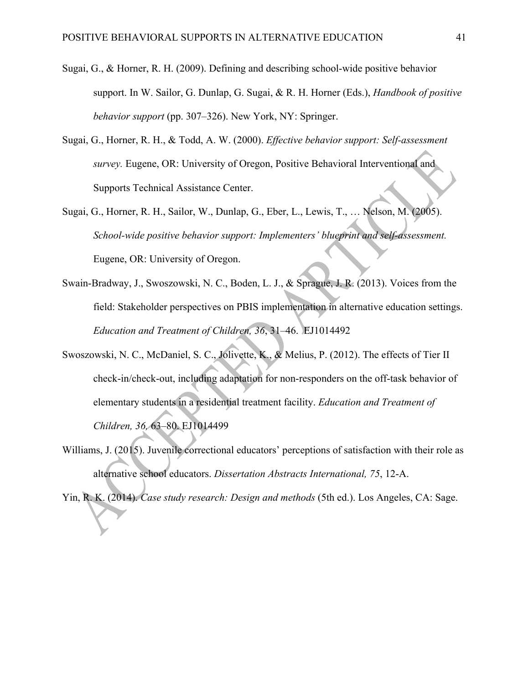- Sugai, G., & Horner, R. H. (2009). Defining and describing school-wide positive behavior support. In W. Sailor, G. Dunlap, G. Sugai, & R. H. Horner (Eds.), *Handbook of positive behavior support* (pp. 307–326). New York, NY: Springer.
- Sugai, G., Horner, R. H., & Todd, A. W. (2000). *Effective behavior support: Self-assessment survey.* Eugene, OR: University of Oregon, Positive Behavioral Interventional and Supports Technical Assistance Center.
- Sugai, G., Horner, R. H., Sailor, W., Dunlap, G., Eber, L., Lewis, T., … Nelson, M. (2005). *School-wide positive behavior support: Implementers' blueprint and self-assessment.*  Eugene, OR: University of Oregon.
- Swain-Bradway, J., Swoszowski, N. C., Boden, L. J., & Sprague, J. R. (2013). Voices from the field: Stakeholder perspectives on PBIS implementation in alternative education settings. *Education and Treatment of Children, 36*, 31–46. EJ1014492
- Swoszowski, N. C., McDaniel, S. C., Jolivette, K., & Melius, P. (2012). The effects of Tier II check-in/check-out, including adaptation for non-responders on the off-task behavior of elementary students in a residential treatment facility. *Education and Treatment of Children, 36,* 63–80. EJ1014499
- Williams, J. (2015). Juvenile correctional educators' perceptions of satisfaction with their role as alternative school educators. *Dissertation Abstracts International, 75*, 12-A.

Yin, R. K. (2014). *Case study research: Design and methods* (5th ed.). Los Angeles, CA: Sage.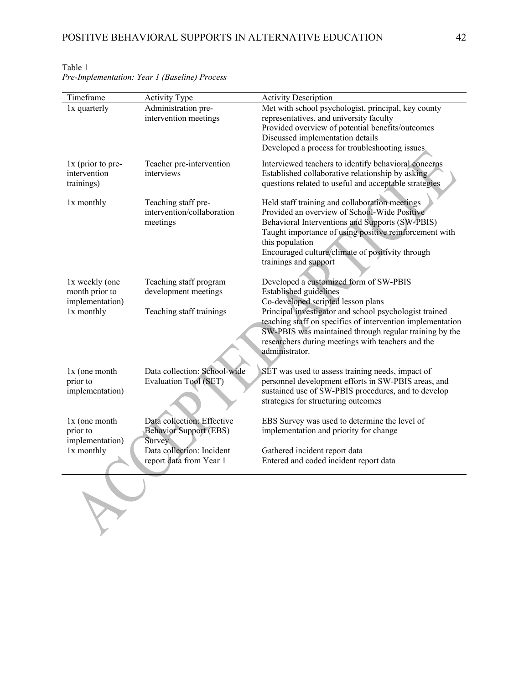| Timeframe                                                         | <b>Activity Type</b>                                                       | <b>Activity Description</b>                                                                                                                                                                                                                                                                                                                                     |
|-------------------------------------------------------------------|----------------------------------------------------------------------------|-----------------------------------------------------------------------------------------------------------------------------------------------------------------------------------------------------------------------------------------------------------------------------------------------------------------------------------------------------------------|
| 1x quarterly                                                      | Administration pre-<br>intervention meetings                               | Met with school psychologist, principal, key county<br>representatives, and university faculty<br>Provided overview of potential benefits/outcomes<br>Discussed implementation details<br>Developed a process for troubleshooting issues                                                                                                                        |
| $1x$ (prior to pre-<br>intervention<br>trainings)                 | Teacher pre-intervention<br>interviews                                     | Interviewed teachers to identify behavioral concerns<br>Established collaborative relationship by asking<br>questions related to useful and acceptable strategies                                                                                                                                                                                               |
| 1x monthly                                                        | Teaching staff pre-<br>intervention/collaboration<br>meetings              | Held staff training and collaboration meetings<br>Provided an overview of School-Wide Positive<br>Behavioral Interventions and Supports (SW-PBIS)<br>Taught importance of using positive reinforcement with<br>this population<br>Encouraged culture/climate of positivity through<br>trainings and support                                                     |
| 1x weekly (one<br>month prior to<br>implementation)<br>1x monthly | Teaching staff program<br>development meetings<br>Teaching staff trainings | Developed a customized form of SW-PBIS<br>Established guidelines<br>Co-developed scripted lesson plans<br>Principal investigator and school psychologist trained<br>teaching staff on specifics of intervention implementation<br>SW-PBIS was maintained through regular training by the<br>researchers during meetings with teachers and the<br>administrator. |
| 1x (one month<br>prior to<br>implementation)                      | Data collection: School-wide<br>Evaluation Tool (SET)                      | SET was used to assess training needs, impact of<br>personnel development efforts in SW-PBIS areas, and<br>sustained use of SW-PBIS procedures, and to develop<br>strategies for structuring outcomes                                                                                                                                                           |
| $1x$ (one month<br>prior to<br>implementation)                    | Data collection: Effective<br><b>Behavior Support (EBS)</b><br>Survey      | EBS Survey was used to determine the level of<br>implementation and priority for change                                                                                                                                                                                                                                                                         |
| 1x monthly                                                        | Data collection: Incident<br>report data from Year 1                       | Gathered incident report data<br>Entered and coded incident report data                                                                                                                                                                                                                                                                                         |

| Table 1                                       |  |  |
|-----------------------------------------------|--|--|
| Pre-Implementation: Year 1 (Baseline) Process |  |  |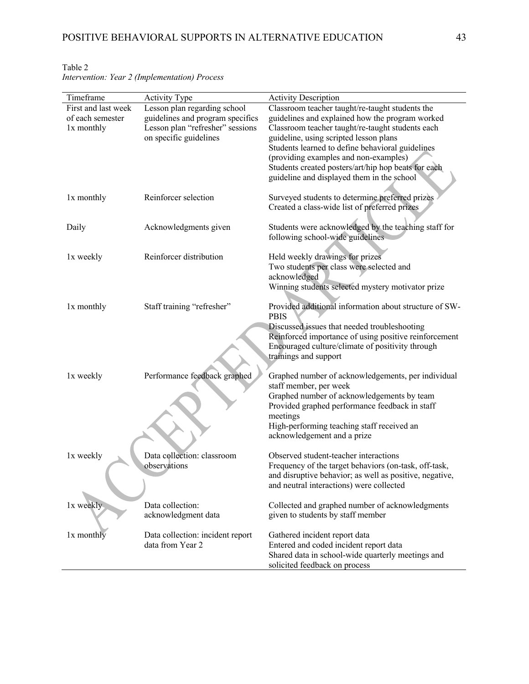| Timeframe           | <b>Activity Type</b>             | <b>Activity Description</b>                             |
|---------------------|----------------------------------|---------------------------------------------------------|
| First and last week | Lesson plan regarding school     | Classroom teacher taught/re-taught students the         |
| of each semester    | guidelines and program specifics | guidelines and explained how the program worked         |
| 1x monthly          | Lesson plan "refresher" sessions | Classroom teacher taught/re-taught students each        |
|                     | on specific guidelines           | guideline, using scripted lesson plans                  |
|                     |                                  | Students learned to define behavioral guidelines        |
|                     |                                  | (providing examples and non-examples)                   |
|                     |                                  | Students created posters/art/hip hop beats for each     |
|                     |                                  |                                                         |
|                     |                                  | guideline and displayed them in the school              |
| 1x monthly          | Reinforcer selection             | Surveyed students to determine preferred prizes         |
|                     |                                  | Created a class-wide list of preferred prizes           |
| Daily               | Acknowledgments given            | Students were acknowledged by the teaching staff for    |
|                     |                                  | following school-wide guidelines                        |
|                     |                                  |                                                         |
| 1x weekly           | Reinforcer distribution          | Held weekly drawings for prizes                         |
|                     |                                  | Two students per class were selected and                |
|                     |                                  | acknowledged                                            |
|                     |                                  | Winning students selected mystery motivator prize       |
|                     |                                  |                                                         |
| 1x monthly          | Staff training "refresher"       | Provided additional information about structure of SW-  |
|                     |                                  | <b>PBIS</b>                                             |
|                     |                                  | Discussed issues that needed troubleshooting            |
|                     |                                  | Reinforced importance of using positive reinforcement   |
|                     |                                  | Encouraged culture/climate of positivity through        |
|                     |                                  | trainings and support                                   |
|                     |                                  |                                                         |
| 1x weekly           | Performance feedback graphed     | Graphed number of acknowledgements, per individual      |
|                     |                                  | staff member, per week                                  |
|                     |                                  | Graphed number of acknowledgements by team              |
|                     |                                  | Provided graphed performance feedback in staff          |
|                     |                                  | meetings                                                |
|                     |                                  | High-performing teaching staff received an              |
|                     |                                  | acknowledgement and a prize                             |
|                     |                                  |                                                         |
| 1x weekly           | Data collection: classroom       | Observed student-teacher interactions                   |
|                     | observations                     | Frequency of the target behaviors (on-task, off-task,   |
|                     |                                  | and disruptive behavior; as well as positive, negative, |
|                     |                                  | and neutral interactions) were collected                |
|                     |                                  |                                                         |
| 1x weekly           | Data collection:                 | Collected and graphed number of acknowledgments         |
|                     | acknowledgment data              | given to students by staff member                       |
| 1x monthly          | Data collection: incident report | Gathered incident report data                           |
|                     | data from Year 2                 | Entered and coded incident report data                  |
|                     |                                  | Shared data in school-wide quarterly meetings and       |
|                     |                                  | solicited feedback on process                           |
|                     |                                  |                                                         |

Table 2 *Intervention: Year 2 (Implementation) Process*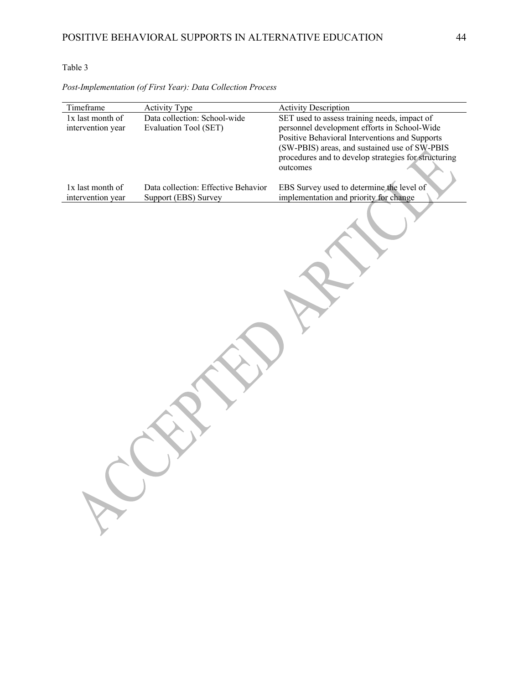### Table 3

*Post-Implementation (of First Year): Data Collection Process*

| Timeframe                             | Activity Type                                               | <b>Activity Description</b>                                                                                                                                                                                                                                         |
|---------------------------------------|-------------------------------------------------------------|---------------------------------------------------------------------------------------------------------------------------------------------------------------------------------------------------------------------------------------------------------------------|
| 1x last month of<br>intervention year | Data collection: School-wide<br>Evaluation Tool (SET)       | SET used to assess training needs, impact of<br>personnel development efforts in School-Wide<br>Positive Behavioral Interventions and Supports<br>(SW-PBIS) areas, and sustained use of SW-PBIS<br>procedures and to develop strategies for structuring<br>outcomes |
| 1x last month of<br>intervention year | Data collection: Effective Behavior<br>Support (EBS) Survey | EBS Survey used to determine the level of<br>implementation and priority for change                                                                                                                                                                                 |
|                                       |                                                             |                                                                                                                                                                                                                                                                     |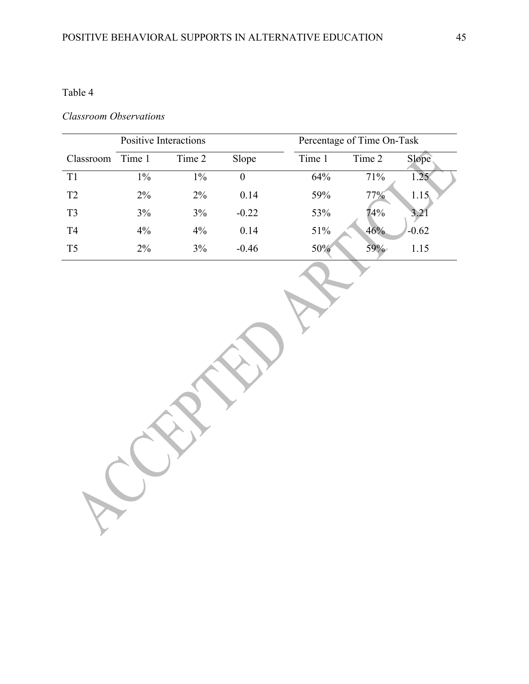## Table 4

## *Classroom Observations*

|                | <b>Positive Interactions</b> |        |          |        | Percentage of Time On-Task |         |  |
|----------------|------------------------------|--------|----------|--------|----------------------------|---------|--|
| Classroom      | Time 1                       | Time 2 | Slope    | Time 1 | Time 2                     | Slope   |  |
| T1             | $1\%$                        | $1\%$  | $\theta$ | 64%    | 71%                        | 1.25    |  |
| T <sub>2</sub> | $2\%$                        | 2%     | 0.14     | 59%    | 77%                        | 1.15    |  |
| T <sub>3</sub> | 3%                           | 3%     | $-0.22$  | 53%    | 74%                        | 3.21    |  |
| T <sub>4</sub> | $4\%$                        | 4%     | 0.14     | 51%    | 46%                        | $-0.62$ |  |
| T <sub>5</sub> | $2\%$                        | 3%     | $-0.46$  | 50%    | 59%                        | 1.15    |  |